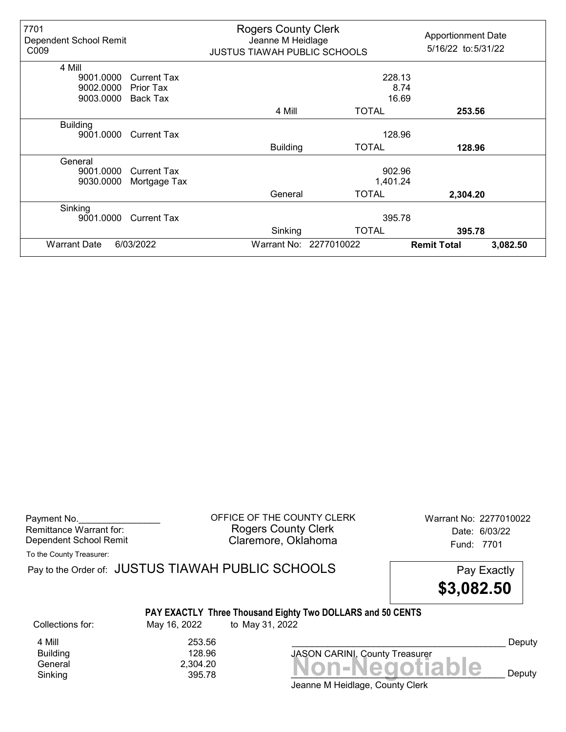| 7701<br>Dependent School Remit<br>C <sub>009</sub> |                    | <b>Rogers County Clerk</b><br>Jeanne M Heidlage<br><b>JUSTUS TIAWAH PUBLIC SCHOOLS</b> |                        | <b>Apportionment Date</b><br>5/16/22 to: 5/31/22 |          |
|----------------------------------------------------|--------------------|----------------------------------------------------------------------------------------|------------------------|--------------------------------------------------|----------|
| 4 Mill                                             |                    |                                                                                        |                        |                                                  |          |
| 9001.0000                                          | <b>Current Tax</b> | 228.13                                                                                 |                        |                                                  |          |
| 9002.0000                                          | Prior Tax          |                                                                                        |                        | 8.74                                             |          |
| 9003.0000                                          | Back Tax           | 16.69                                                                                  |                        |                                                  |          |
|                                                    |                    | 4 Mill                                                                                 | <b>TOTAL</b>           | 253.56                                           |          |
| <b>Building</b>                                    |                    |                                                                                        |                        |                                                  |          |
| 9001.0000                                          | <b>Current Tax</b> |                                                                                        | 128.96                 |                                                  |          |
|                                                    |                    | <b>Building</b>                                                                        | <b>TOTAL</b>           | 128.96                                           |          |
| General                                            |                    |                                                                                        |                        |                                                  |          |
| 9001.0000                                          | <b>Current Tax</b> |                                                                                        | 902.96                 |                                                  |          |
| 9030,0000                                          | Mortgage Tax       |                                                                                        | 1,401.24               |                                                  |          |
|                                                    |                    | General                                                                                | <b>TOTAL</b>           | 2,304.20                                         |          |
| Sinking                                            |                    |                                                                                        |                        |                                                  |          |
| 9001.0000                                          | <b>Current Tax</b> |                                                                                        | 395.78                 |                                                  |          |
|                                                    |                    | Sinking                                                                                | <b>TOTAL</b>           | 395.78                                           |          |
| <b>Warrant Date</b>                                | 6/03/2022          |                                                                                        | Warrant No: 2277010022 | <b>Remit Total</b>                               | 3,082.50 |

Payment No. 2277010022 CORPICE OF THE COUNTY CLERK Warrant No: 2277010022 Rogers County Clerk Date: 6/03/22 Dependent School Remit **Claremore, Oklahoma** Fund: 7701

To the County Treasurer:

 $General  
Shiking 2,304.20 295.78 2095.78$  $Sinking$  395.78  $395.78$  **NUIFNCYULIANIC** Deputy Pay to the Order of: JUSTUS TIAWAH PUBLIC SCHOOLS Pay Exactly PAY EXACTLY Three Thousand Eighty Two DOLLARS and 50 CENTS \$3,082.50 Collections for: May 16, 2022 to May 31, 2022 JASON CARINI, County Treasurer 4 Mill 253.56<br>Building 253.56<br>28.96 **Building** Deputy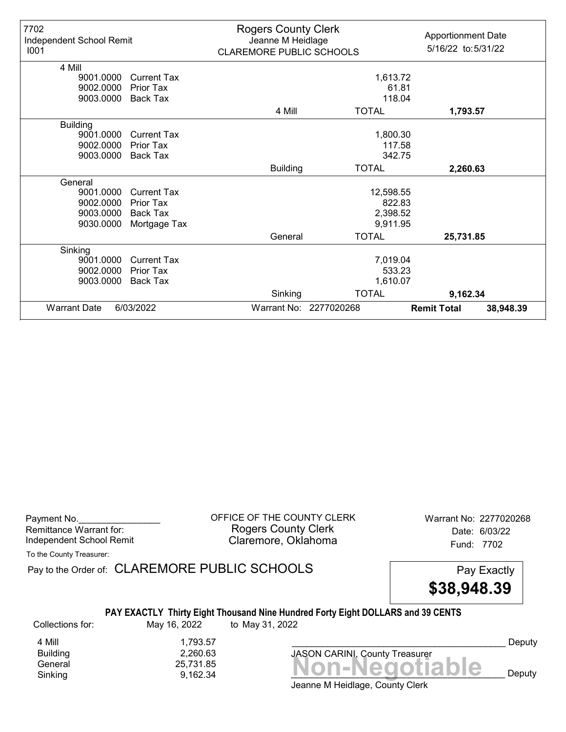| 7702<br>Independent School Remit<br>1001                    |                                                                    | <b>Rogers County Clerk</b><br>Jeanne M Heidlage<br><b>CLAREMORE PUBLIC SCHOOLS</b> |                                             | <b>Apportionment Date</b><br>5/16/22 to: 5/31/22 |
|-------------------------------------------------------------|--------------------------------------------------------------------|------------------------------------------------------------------------------------|---------------------------------------------|--------------------------------------------------|
| 4 Mill<br>9001.0000                                         | <b>Current Tax</b>                                                 |                                                                                    | 1,613.72                                    |                                                  |
| 9002.0000<br>9003.0000                                      | Prior Tax<br><b>Back Tax</b>                                       |                                                                                    | 61.81<br>118.04                             |                                                  |
|                                                             |                                                                    | 4 Mill                                                                             | <b>TOTAL</b>                                | 1,793.57                                         |
| <b>Building</b><br>9001.0000<br>9002.0000<br>9003.0000      | <b>Current Tax</b><br>Prior Tax<br><b>Back Tax</b>                 |                                                                                    | 1,800.30<br>117.58<br>342.75                |                                                  |
|                                                             |                                                                    | <b>Building</b>                                                                    | <b>TOTAL</b>                                | 2,260.63                                         |
| General<br>9001.0000<br>9002.0000<br>9003.0000<br>9030.0000 | <b>Current Tax</b><br><b>Prior Tax</b><br>Back Tax<br>Mortgage Tax |                                                                                    | 12,598.55<br>822.83<br>2,398.52<br>9,911.95 |                                                  |
|                                                             |                                                                    | General                                                                            | <b>TOTAL</b>                                | 25,731.85                                        |
| Sinking<br>9001.0000<br>9002.0000<br>9003.0000              | Current Tax<br>Prior Tax<br>Back Tax                               |                                                                                    | 7,019.04<br>533.23<br>1,610.07              |                                                  |
|                                                             |                                                                    | Sinking                                                                            | <b>TOTAL</b>                                | 9,162.34                                         |
| <b>Warrant Date</b>                                         | 6/03/2022                                                          |                                                                                    | Warrant No: 2277020268                      | <b>Remit Total</b><br>38,948.39                  |

Payment No. 2277020268 CONNECT OF THE COUNTY CLERK Warrant No: 2277020268 Rogers County Clerk Date: 6/03/22 Independent School Remit **Claremore, Oklahoma** Fund: 7702

To the County Treasurer:

Pay to the Order of: CLAREMORE PUBLIC SCHOOLS Pay Exactly



## PAY EXACTLY Thirty Eight Thousand Nine Hundred Forty Eight DOLLARS and 39 CENTS

Collections for: May 16, 2022 to May 31, 2022

Banding<br>General 25,731.85<br>Sinking 9,162.34 **Non-Negotiable** 4 Mill<br>Building 1,793.57<br>2,260.63 Building 2,260.63

Jeanne M Heidlage, County Clerk Sinking  $9,162.34$   $9,162.34$   $111110$ 

JASON CARINI, County Treasurer

Deputy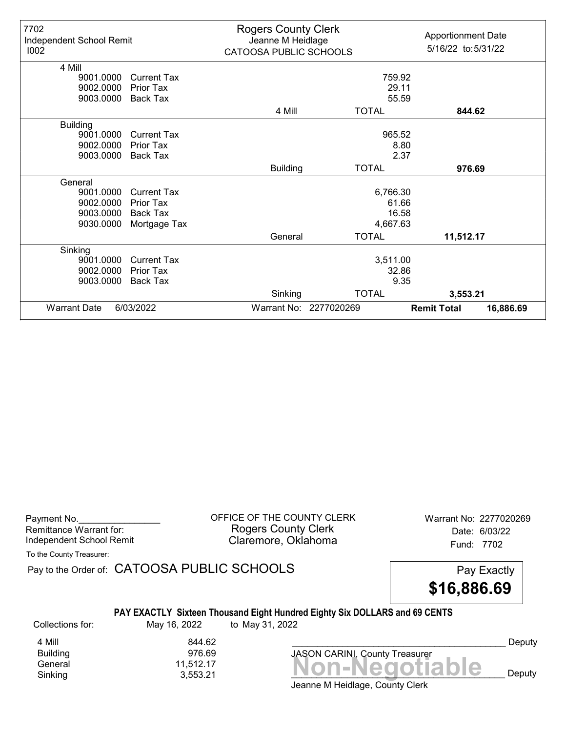| 7702<br>Independent School Remit<br>1002 |                    | <b>Rogers County Clerk</b><br>Jeanne M Heidlage<br>CATOOSA PUBLIC SCHOOLS |                        | <b>Apportionment Date</b><br>5/16/22 to: 5/31/22 |  |  |
|------------------------------------------|--------------------|---------------------------------------------------------------------------|------------------------|--------------------------------------------------|--|--|
| 4 Mill<br>9001.0000                      | Current Tax        |                                                                           |                        |                                                  |  |  |
|                                          | <b>Prior Tax</b>   | 759.92<br>29.11                                                           |                        |                                                  |  |  |
| 9002.0000<br>9003.0000                   | Back Tax           |                                                                           |                        | 55.59                                            |  |  |
|                                          |                    |                                                                           |                        |                                                  |  |  |
|                                          |                    | 4 Mill                                                                    | <b>TOTAL</b>           | 844.62                                           |  |  |
| <b>Building</b>                          |                    |                                                                           |                        |                                                  |  |  |
| 9001.0000                                | <b>Current Tax</b> | 965.52                                                                    |                        |                                                  |  |  |
| 9002.0000                                | <b>Prior Tax</b>   | 8.80                                                                      |                        |                                                  |  |  |
| 9003.0000                                | Back Tax           |                                                                           |                        | 2.37                                             |  |  |
|                                          |                    | <b>Building</b>                                                           | <b>TOTAL</b>           | 976.69                                           |  |  |
| General                                  |                    |                                                                           |                        |                                                  |  |  |
| 9001.0000                                | <b>Current Tax</b> |                                                                           | 6,766.30               |                                                  |  |  |
| 9002.0000                                | <b>Prior Tax</b>   |                                                                           |                        | 61.66                                            |  |  |
| 9003.0000                                | Back Tax           |                                                                           |                        | 16.58                                            |  |  |
| 9030.0000                                | Mortgage Tax       |                                                                           | 4,667.63               |                                                  |  |  |
|                                          |                    | General                                                                   | <b>TOTAL</b>           | 11,512.17                                        |  |  |
| Sinking                                  |                    |                                                                           |                        |                                                  |  |  |
| 9001.0000                                | <b>Current Tax</b> |                                                                           | 3,511.00               |                                                  |  |  |
| 9002.0000                                | <b>Prior Tax</b>   |                                                                           |                        | 32.86                                            |  |  |
| 9003.0000                                | <b>Back Tax</b>    |                                                                           |                        | 9.35                                             |  |  |
|                                          |                    | Sinking                                                                   | <b>TOTAL</b>           | 3,553.21                                         |  |  |
| <b>Warrant Date</b>                      | 6/03/2022          |                                                                           | Warrant No: 2277020269 | <b>Remit Total</b><br>16,886.69                  |  |  |

| Payment No.              |  |
|--------------------------|--|
| Remittance Warrant for:  |  |
| Independent School Remit |  |

OFFICE OF THE COUNTY CLERK Warrant No: 2277020269 Rogers County Clerk Date: 6/03/22 Claremore, Oklahoma<br>
Fund: 7702

To the County Treasurer:

Pay to the Order of: CATOOSA PUBLIC SCHOOLS Pay Exactly

\$16,886.69

#### PAY EXACTLY Sixteen Thousand Eight Hundred Eighty Six DOLLARS and 69 CENTS

Collections for: May 16, 2022 to May 31, 2022

**Building** 

4 Mill 844.62<br>Building 976.69

 $General  
Shiking 11,512.17  
3,553.21 17.217$ Sinking 3,553.21 \_\_\_\_\_\_\_\_\_\_\_\_\_\_\_\_\_\_\_\_\_\_\_\_\_\_\_\_\_\_\_\_\_\_\_\_\_\_\_\_\_\_ Deputy JASON CARINI, County Treasurer

Deputy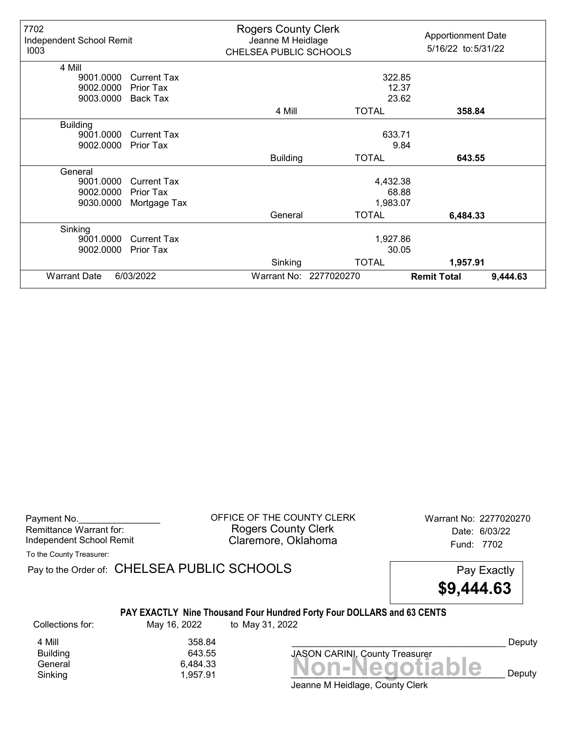| 7702<br>Independent School Remit<br>1003 |                    | <b>Rogers County Clerk</b><br>Jeanne M Heidlage<br>CHELSEA PUBLIC SCHOOLS |                        | <b>Apportionment Date</b><br>5/16/22 to: 5/31/22 |          |
|------------------------------------------|--------------------|---------------------------------------------------------------------------|------------------------|--------------------------------------------------|----------|
| 4 Mill                                   |                    |                                                                           |                        |                                                  |          |
| 9001.0000                                | <b>Current Tax</b> |                                                                           | 322.85                 |                                                  |          |
| 9002.0000                                | Prior Tax          |                                                                           |                        | 12.37                                            |          |
| 9003.0000                                | <b>Back Tax</b>    |                                                                           |                        | 23.62                                            |          |
|                                          |                    | 4 Mill                                                                    | <b>TOTAL</b>           | 358.84                                           |          |
| <b>Building</b>                          |                    |                                                                           |                        |                                                  |          |
| 9001.0000                                | <b>Current Tax</b> | 633.71                                                                    |                        |                                                  |          |
| 9002.0000                                | Prior Tax          |                                                                           |                        | 9.84                                             |          |
|                                          |                    | <b>Building</b>                                                           | <b>TOTAL</b>           | 643.55                                           |          |
| General                                  |                    |                                                                           |                        |                                                  |          |
| 9001.0000                                | <b>Current Tax</b> |                                                                           | 4,432.38               |                                                  |          |
| 9002.0000                                | Prior Tax          |                                                                           |                        | 68.88                                            |          |
| 9030.0000                                | Mortgage Tax       |                                                                           | 1,983.07               |                                                  |          |
|                                          |                    | General                                                                   | <b>TOTAL</b>           | 6,484.33                                         |          |
| Sinking                                  |                    |                                                                           |                        |                                                  |          |
| 9001.0000                                | Current Tax        |                                                                           | 1,927.86               |                                                  |          |
| 9002.0000                                | <b>Prior Tax</b>   |                                                                           |                        | 30.05                                            |          |
|                                          |                    | Sinking                                                                   | <b>TOTAL</b>           | 1,957.91                                         |          |
| <b>Warrant Date</b>                      | 6/03/2022          |                                                                           | Warrant No: 2277020270 | <b>Remit Total</b>                               | 9,444.63 |

Payment No. 2277020270<br>
OFFICE OF THE COUNTY CLERK Warrant No: 2277020270 Rogers County Clerk Date: 6/03/22 Independent School Remit **Claremore, Oklahoma** Fund: 7702

To the County Treasurer:

Pay to the Order of: CHELSEA PUBLIC SCHOOLS Pay Exactly

\$9,444.63

### PAY EXACTLY Nine Thousand Four Hundred Forty Four DOLLARS and 63 CENTS

Collections for: May 16, 2022 to May 31, 2022

Building<br>General

4 Mill 358.84<br>Building 643.55

Bananing<br>General 6,484.33<br>Sinking 1,957.91 **Non-Negotiable** Sinking and  $1,957.91$  and  $1,957.91$  and  $1$  **NUIFINGULIANIC** Deputy

Deputy

Jeanne M Heidlage, County Clerk

JASON CARINI, County Treasurer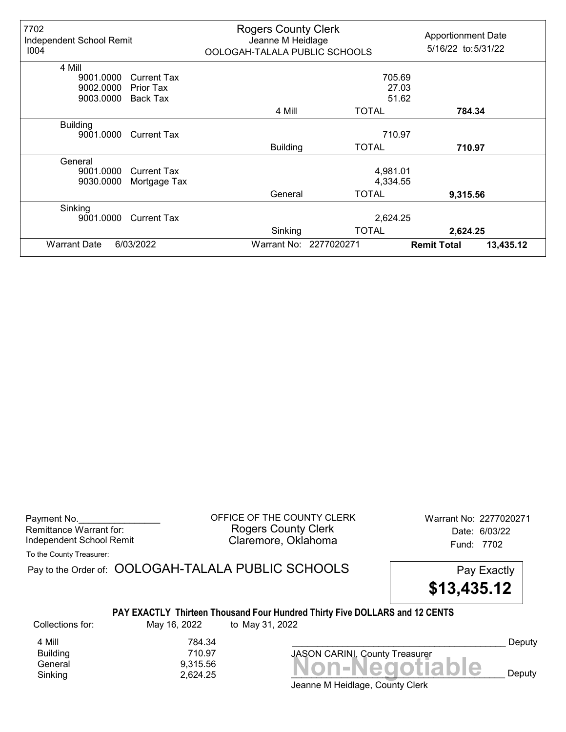| 7702<br>Independent School Remit<br>1004 |                    | <b>Rogers County Clerk</b><br>Jeanne M Heidlage<br>OOLOGAH-TALALA PUBLIC SCHOOLS |                        | <b>Apportionment Date</b><br>5/16/22 to:5/31/22 |           |
|------------------------------------------|--------------------|----------------------------------------------------------------------------------|------------------------|-------------------------------------------------|-----------|
| 4 Mill                                   |                    |                                                                                  |                        |                                                 |           |
| 9001.0000                                | <b>Current Tax</b> |                                                                                  | 705.69                 |                                                 |           |
| 9002.0000                                | Prior Tax          |                                                                                  | 27.03                  |                                                 |           |
| 9003.0000                                | <b>Back Tax</b>    |                                                                                  | 51.62                  |                                                 |           |
|                                          |                    | 4 Mill                                                                           | <b>TOTAL</b>           | 784.34                                          |           |
| <b>Building</b>                          |                    |                                                                                  |                        |                                                 |           |
| 9001.0000                                | <b>Current Tax</b> |                                                                                  | 710.97                 |                                                 |           |
|                                          |                    | <b>Building</b>                                                                  | <b>TOTAL</b>           | 710.97                                          |           |
| General                                  |                    |                                                                                  |                        |                                                 |           |
| 9001.0000                                | <b>Current Tax</b> |                                                                                  | 4,981.01               |                                                 |           |
| 9030,0000                                | Mortgage Tax       |                                                                                  | 4,334.55               |                                                 |           |
|                                          |                    | General                                                                          | <b>TOTAL</b>           | 9,315.56                                        |           |
| Sinking                                  |                    |                                                                                  |                        |                                                 |           |
| 9001.0000                                | <b>Current Tax</b> |                                                                                  | 2,624.25               |                                                 |           |
|                                          |                    | Sinking                                                                          | <b>TOTAL</b>           | 2,624.25                                        |           |
| <b>Warrant Date</b>                      | 6/03/2022          |                                                                                  | Warrant No: 2277020271 | <b>Remit Total</b>                              | 13,435.12 |

Remittance Warrant for:<br>Independent School Remit

Payment No. 2277020271 CDFFICE OF THE COUNTY CLERK Warrant No: 2277020271 Rogers County Clerk **Date:** 6/03/22 Independent School Remit **Example: 2008** Claremore, Oklahoma **Independent School Remit** 

To the County Treasurer:

|                  |              | Pay to the Order of: OOLOGAH-TALALA PUBLIC SCHOOLS                                             | Pay Exactly<br>\$13,435.12 |        |
|------------------|--------------|------------------------------------------------------------------------------------------------|----------------------------|--------|
| Collections for: | May 16, 2022 | PAY EXACTLY Thirteen Thousand Four Hundred Thirty Five DOLLARS and 12 CENTS<br>to May 31, 2022 |                            |        |
| 4 Mill           | 784.34       |                                                                                                |                            | Deputy |
| <b>Building</b>  | 710.97       | <b>JASON CARINI, County Treasurer</b>                                                          |                            |        |
| General          | 9,315.56     |                                                                                                | <u> Non-Negotiable</u>     |        |
| Sinking          | 2.624.25     |                                                                                                |                            | Deputy |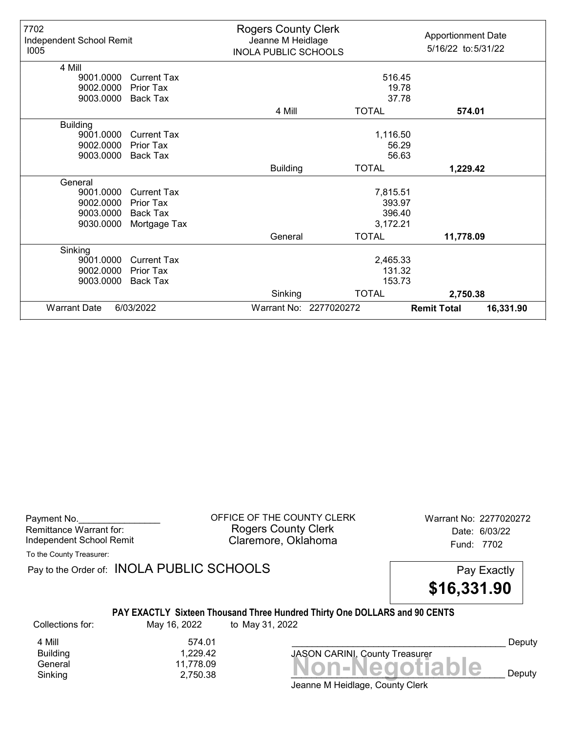| 7702<br>Independent School Remit<br>1005 |                    | <b>Rogers County Clerk</b><br>Jeanne M Heidlage<br><b>INOLA PUBLIC SCHOOLS</b> |                        | <b>Apportionment Date</b><br>5/16/22 to: 5/31/22 |
|------------------------------------------|--------------------|--------------------------------------------------------------------------------|------------------------|--------------------------------------------------|
| 4 Mill                                   |                    |                                                                                |                        |                                                  |
| 9001.0000                                | <b>Current Tax</b> |                                                                                | 516.45                 |                                                  |
| 9002.0000                                | Prior Tax          |                                                                                | 19.78                  |                                                  |
| 9003.0000                                | Back Tax           |                                                                                | 37.78                  |                                                  |
|                                          |                    | 4 Mill                                                                         | <b>TOTAL</b>           | 574.01                                           |
| <b>Building</b>                          |                    |                                                                                |                        |                                                  |
| 9001.0000                                | <b>Current Tax</b> |                                                                                | 1,116.50               |                                                  |
| 9002.0000                                | Prior Tax          |                                                                                | 56.29                  |                                                  |
| 9003.0000                                | Back Tax           |                                                                                | 56.63                  |                                                  |
|                                          |                    | <b>Building</b>                                                                | <b>TOTAL</b>           | 1,229.42                                         |
| General                                  |                    |                                                                                |                        |                                                  |
| 9001.0000                                | <b>Current Tax</b> |                                                                                | 7,815.51               |                                                  |
| 9002.0000                                | <b>Prior Tax</b>   |                                                                                | 393.97                 |                                                  |
| 9003.0000                                | <b>Back Tax</b>    |                                                                                | 396.40                 |                                                  |
| 9030.0000                                | Mortgage Tax       |                                                                                | 3,172.21               |                                                  |
|                                          |                    | General                                                                        | <b>TOTAL</b>           | 11,778.09                                        |
| Sinking                                  |                    |                                                                                |                        |                                                  |
| 9001.0000                                | <b>Current Tax</b> |                                                                                | 2,465.33               |                                                  |
| 9002.0000                                | Prior Tax          |                                                                                | 131.32                 |                                                  |
| 9003.0000                                | <b>Back Tax</b>    |                                                                                | 153.73                 |                                                  |
|                                          |                    | Sinking                                                                        | <b>TOTAL</b>           | 2,750.38                                         |
| <b>Warrant Date</b>                      | 6/03/2022          |                                                                                | Warrant No: 2277020272 | <b>Remit Total</b><br>16,331.90                  |

| Payment No.              |  |
|--------------------------|--|
| Remittance Warrant for:  |  |
| Independent School Remit |  |

OFFICE OF THE COUNTY CLERK Warrant No: 2277020272 Rogers County Clerk Date: 6/03/22 Claremore, Oklahoma<br>
Fund: 7702

To the County Treasurer:

Pay to the Order of: INOLA PUBLIC SCHOOLS Pay Exactly

\$16,331.90

## PAY EXACTLY Sixteen Thousand Three Hundred Thirty One DOLLARS and 90 CENTS

Collections for: May 16, 2022 to May 31, 2022

4 Mill 574.01<br>Building 1,229.42 Building 1,229.42

Jeanne M Heidlage, County Clerk Banding<br>General 11,778.09 11,778.09 Non-Negotiable Sinking  $2,750.38$  **NUIFNCYULIANIC** Deputy

JASON CARINI, County Treasurer

Deputy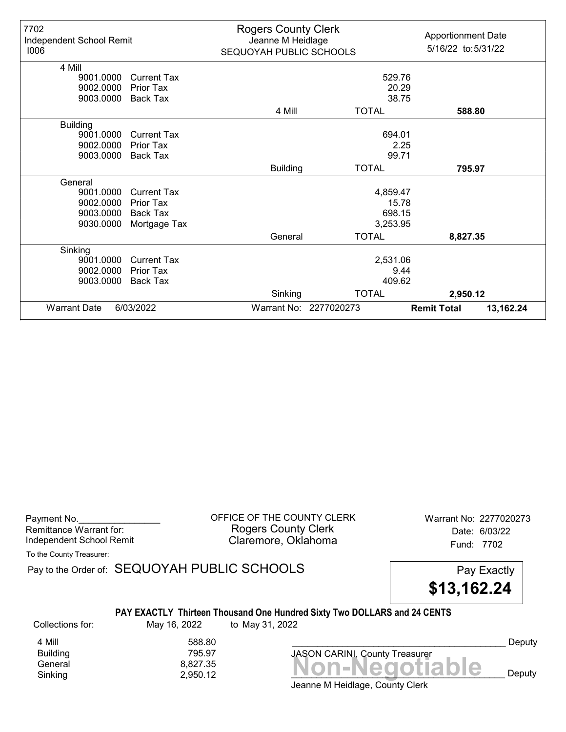| 7702<br>Independent School Remit<br>1006 |                    | <b>Rogers County Clerk</b><br>Jeanne M Heidlage<br>SEQUOYAH PUBLIC SCHOOLS |                        | <b>Apportionment Date</b><br>5/16/22 to: 5/31/22 |
|------------------------------------------|--------------------|----------------------------------------------------------------------------|------------------------|--------------------------------------------------|
| 4 Mill                                   |                    |                                                                            |                        |                                                  |
| 9001.0000                                | <b>Current Tax</b> |                                                                            | 529.76                 |                                                  |
| 9002.0000                                | <b>Prior Tax</b>   |                                                                            | 20.29                  |                                                  |
| 9003.0000                                | Back Tax           |                                                                            |                        | 38.75                                            |
|                                          |                    | 4 Mill                                                                     | <b>TOTAL</b>           | 588.80                                           |
| <b>Building</b>                          |                    |                                                                            |                        |                                                  |
| 9001.0000                                | <b>Current Tax</b> |                                                                            | 694.01                 |                                                  |
| 9002.0000                                | <b>Prior Tax</b>   | 2.25                                                                       |                        |                                                  |
| 9003.0000                                | <b>Back Tax</b>    | 99.71                                                                      |                        |                                                  |
|                                          |                    | <b>Building</b>                                                            | <b>TOTAL</b>           | 795.97                                           |
| General                                  |                    |                                                                            |                        |                                                  |
| 9001.0000                                | <b>Current Tax</b> |                                                                            | 4,859.47               |                                                  |
| 9002.0000                                | Prior Tax          |                                                                            |                        | 15.78                                            |
| 9003.0000                                | <b>Back Tax</b>    |                                                                            | 698.15                 |                                                  |
| 9030.0000                                | Mortgage Tax       |                                                                            | 3,253.95               |                                                  |
|                                          |                    | General                                                                    | <b>TOTAL</b>           | 8,827.35                                         |
| Sinking                                  |                    |                                                                            |                        |                                                  |
| 9001.0000                                | <b>Current Tax</b> |                                                                            | 2,531.06               |                                                  |
| 9002.0000                                | Prior Tax          |                                                                            |                        | 9.44                                             |
| 9003.0000                                | <b>Back Tax</b>    |                                                                            | 409.62                 |                                                  |
|                                          |                    | Sinking                                                                    | <b>TOTAL</b>           | 2,950.12                                         |
| <b>Warrant Date</b>                      | 6/03/2022          |                                                                            | Warrant No: 2277020273 | <b>Remit Total</b><br>13,162.24                  |

| Payment No.              |  |
|--------------------------|--|
| Remittance Warrant for:  |  |
| Independent School Remit |  |

OFFICE OF THE COUNTY CLERK Warrant No: 2277020273 Rogers County Clerk Date: 6/03/22 Claremore, Oklahoma<br>
Fund: 7702

To the County Treasurer:

Pay to the Order of: SEQUOYAH PUBLIC SCHOOLS Pay Exactly

\$13,162.24

#### PAY EXACTLY Thirteen Thousand One Hundred Sixty Two DOLLARS and 24 CENTS

Collections for: May 16, 2022 to May 31, 2022

**Building** 

4 Mill 588.80<br>Building 795.97

General 8,827.35<br>Sinking 2,950.12 **Non-Negotiable** Sinking  $2,950.12$   $2,950.12$   $1.11$   $1.11$   $1.11$   $1.11$   $1.11$   $1.11$   $1.11$   $1.11$   $1.11$   $1.11$   $1.11$   $1.11$   $1.11$   $1.11$   $1.11$   $1.11$   $1.11$   $1.11$   $1.11$   $1.11$   $1.11$   $1.11$   $1.11$   $1.11$   $1.11$   $1.11$   $1.11$   $1$ JASON CARINI, County Treasurer

Deputy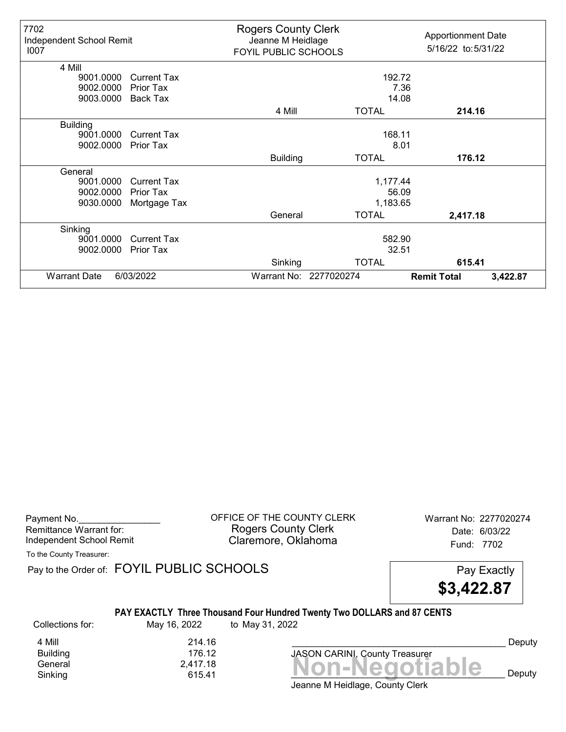| 7702<br>Independent School Remit<br>1007 |                    | <b>Rogers County Clerk</b><br>Jeanne M Heidlage<br>FOYIL PUBLIC SCHOOLS |                        | <b>Apportionment Date</b><br>5/16/22 to:5/31/22 |          |
|------------------------------------------|--------------------|-------------------------------------------------------------------------|------------------------|-------------------------------------------------|----------|
| 4 Mill                                   |                    |                                                                         |                        |                                                 |          |
| 9001.0000                                | <b>Current Tax</b> |                                                                         | 192.72                 |                                                 |          |
| 9002.0000                                | Prior Tax          |                                                                         |                        | 7.36                                            |          |
| 9003.0000                                | <b>Back Tax</b>    |                                                                         |                        | 14.08                                           |          |
|                                          |                    | 4 Mill                                                                  | <b>TOTAL</b>           | 214.16                                          |          |
| <b>Building</b>                          |                    |                                                                         |                        |                                                 |          |
| 9001.0000                                | <b>Current Tax</b> | 168.11                                                                  |                        |                                                 |          |
| 9002.0000                                | <b>Prior Tax</b>   |                                                                         |                        | 8.01                                            |          |
|                                          |                    | <b>Building</b>                                                         | <b>TOTAL</b>           | 176.12                                          |          |
| General                                  |                    |                                                                         |                        |                                                 |          |
| 9001.0000                                | <b>Current Tax</b> |                                                                         | 1,177.44               |                                                 |          |
| 9002.0000                                | <b>Prior Tax</b>   |                                                                         |                        | 56.09                                           |          |
| 9030.0000                                | Mortgage Tax       |                                                                         | 1,183.65               |                                                 |          |
|                                          |                    | General                                                                 | <b>TOTAL</b>           | 2,417.18                                        |          |
| Sinking                                  |                    |                                                                         |                        |                                                 |          |
| 9001.0000                                | Current Tax        |                                                                         | 582.90                 |                                                 |          |
| 9002.0000                                | Prior Tax          |                                                                         | 32.51                  |                                                 |          |
|                                          |                    | Sinking                                                                 | <b>TOTAL</b>           | 615.41                                          |          |
| <b>Warrant Date</b>                      | 6/03/2022          |                                                                         | Warrant No: 2277020274 | <b>Remit Total</b>                              | 3,422.87 |

Payment No. 2277020274 CONDUCT OF THE COUNTY CLERK Warrant No: 2277020274 Rogers County Clerk Date: 6/03/22 Independent School Remit **Claremore, Oklahoma** Fund: 7702

To the County Treasurer:

Pay to the Order of: FOYIL PUBLIC SCHOOLS Pay Exactly

\$3,422.87

### PAY EXACTLY Three Thousand Four Hundred Twenty Two DOLLARS and 87 CENTS

Collections for: May 16, 2022 to May 31, 2022

Building<br>General

4 Mill 214.16<br>Building 215 176.12

General 2,417.18<br>General 2,417.18 **Non-Negotiable** Sinking 615.41  $\blacksquare$   $\blacksquare$   $\blacksquare$   $\blacksquare$   $\blacksquare$   $\blacksquare$   $\blacksquare$   $\blacksquare$   $\blacksquare$   $\blacksquare$   $\blacksquare$   $\blacksquare$   $\blacksquare$   $\blacksquare$   $\blacksquare$   $\blacksquare$   $\blacksquare$   $\blacksquare$   $\blacksquare$   $\blacksquare$   $\blacksquare$   $\blacksquare$   $\blacksquare$   $\blacksquare$   $\blacksquare$   $\blacksquare$   $\blacksquare$   $\blacksquare$   $\blacksquare$   $\bl$ 

Deputy

Jeanne M Heidlage, County Clerk

JASON CARINI, County Treasurer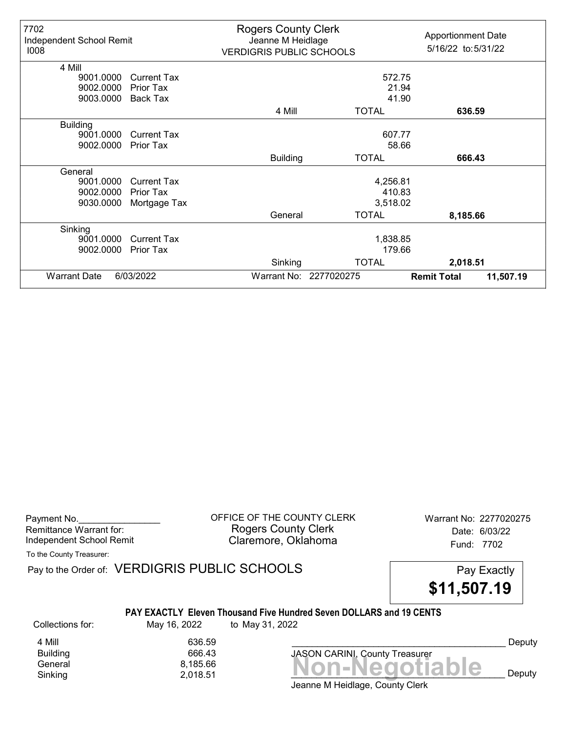| 7702<br>Independent School Remit<br>1008 |                    | <b>Rogers County Clerk</b><br>Jeanne M Heidlage<br><b>VERDIGRIS PUBLIC SCHOOLS</b> |                        | <b>Apportionment Date</b><br>5/16/22 to:5/31/22 |           |
|------------------------------------------|--------------------|------------------------------------------------------------------------------------|------------------------|-------------------------------------------------|-----------|
| 4 Mill                                   |                    |                                                                                    |                        |                                                 |           |
| 9001.0000                                | Current Tax        |                                                                                    | 572.75                 |                                                 |           |
| 9002.0000                                | Prior Tax          |                                                                                    | 21.94                  |                                                 |           |
| 9003.0000                                | <b>Back Tax</b>    |                                                                                    | 41.90                  |                                                 |           |
|                                          |                    | 4 Mill                                                                             | <b>TOTAL</b>           | 636.59                                          |           |
| <b>Building</b>                          |                    |                                                                                    |                        |                                                 |           |
| 9001.0000                                | <b>Current Tax</b> |                                                                                    | 607.77                 |                                                 |           |
| 9002.0000                                | Prior Tax          |                                                                                    | 58.66                  |                                                 |           |
|                                          |                    | <b>Building</b>                                                                    | <b>TOTAL</b>           | 666.43                                          |           |
| General                                  |                    |                                                                                    |                        |                                                 |           |
| 9001.0000                                | <b>Current Tax</b> |                                                                                    | 4,256.81               |                                                 |           |
| 9002.0000                                | Prior Tax          |                                                                                    | 410.83                 |                                                 |           |
| 9030.0000                                | Mortgage Tax       |                                                                                    | 3,518.02               |                                                 |           |
|                                          |                    | General                                                                            | <b>TOTAL</b>           | 8,185.66                                        |           |
| Sinking                                  |                    |                                                                                    |                        |                                                 |           |
| 9001.0000                                | <b>Current Tax</b> |                                                                                    | 1,838.85               |                                                 |           |
| 9002.0000                                | <b>Prior Tax</b>   |                                                                                    | 179.66                 |                                                 |           |
|                                          |                    | Sinking                                                                            | <b>TOTAL</b>           | 2,018.51                                        |           |
| <b>Warrant Date</b><br>6/03/2022         |                    |                                                                                    | Warrant No: 2277020275 | <b>Remit Total</b>                              | 11,507.19 |

Payment No. 2277020275 CORPICE OF THE COUNTY CLERK Warrant No: 2277020275 Rogers County Clerk Date: 6/03/22 Independent School Remit Claremore, Oklahoma Fund: 7702

To the County Treasurer:

Pay to the Order of: VERDIGRIS PUBLIC SCHOOLS Pay Exactly



#### PAY EXACTLY Eleven Thousand Five Hundred Seven DOLLARS and 19 CENTS

Collections for: May 16, 2022 to May 31, 2022

Building

Banding<br>General 8,185.66<br>Sinking 2,018.51 **Non-Negotiable** 4 Mill 636.59<br>Building 666.43

Jeanne M Heidlage, County Clerk Sinking  $2,018.51$   $2,018.51$   $2,018.51$   $2,018.51$   $2,018.51$   $2,018.51$   $2,018.51$   $2,018.51$   $2,018.51$   $2,018.51$   $2,018.51$   $2,018.51$   $2,018.51$   $2,018.51$   $2,018.51$   $2,018.51$   $2,018.51$   $2,018.51$   $2,018.51$   $2,0$ 

JASON CARINI, County Treasurer

Deputy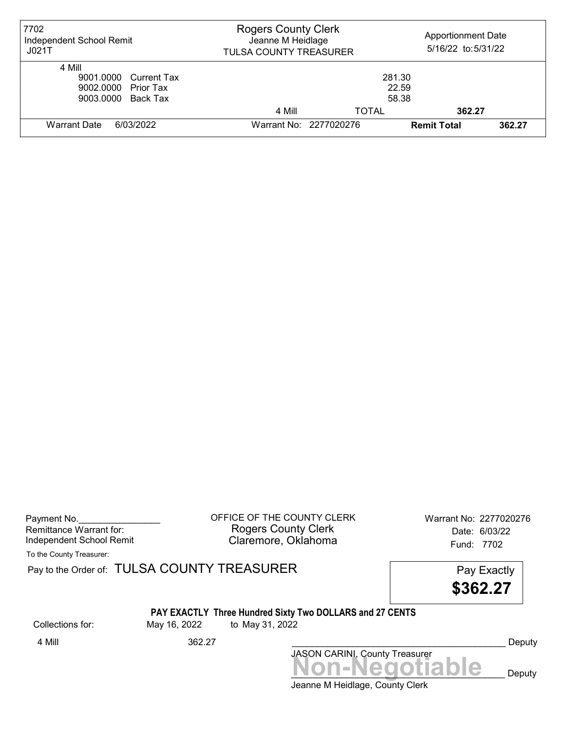| 7702<br>Independent School Remit<br>JO21T                                                                | <b>Rogers County Clerk</b><br>Jeanne M Heidlage<br>TULSA COUNTY TREASURER |                        | <b>Apportionment Date</b><br>5/16/22 to: 5/31/22 |        |
|----------------------------------------------------------------------------------------------------------|---------------------------------------------------------------------------|------------------------|--------------------------------------------------|--------|
| 4 Mill<br>9001.0000 Current Tax<br>281.30<br>22.59<br>9002.0000 Prior Tax<br>58.38<br>9003.0000 Back Tax |                                                                           |                        |                                                  |        |
|                                                                                                          | 4 Mill                                                                    | TOTAL                  | 362.27                                           |        |
| Warrant Date<br>6/03/2022                                                                                |                                                                           | Warrant No: 2277020276 | <b>Remit Total</b>                               | 362.27 |

Payment No. 2277020276 CONDUCT OF THE COUNTY CLERK Warrant No: 2277020276 Rogers County Clerk Date: 6/03/22 Independent School Remit **Claremore, Oklahoma** Fund: 7702

To the County Treasurer:

Pay to the Order of: TULSA COUNTY TREASURER Pay to the Order of: TULSA COUNTY TREASURER

\$362.27

# PAY EXACTLY Three Hundred Sixty Two DOLLARS and 27 CENTS

Collections for: May 16, 2022 to May 31, 2022

4 Mill 362.27 Deputy

Non-Negotiable Deputy JASON CARINI, County Treasurer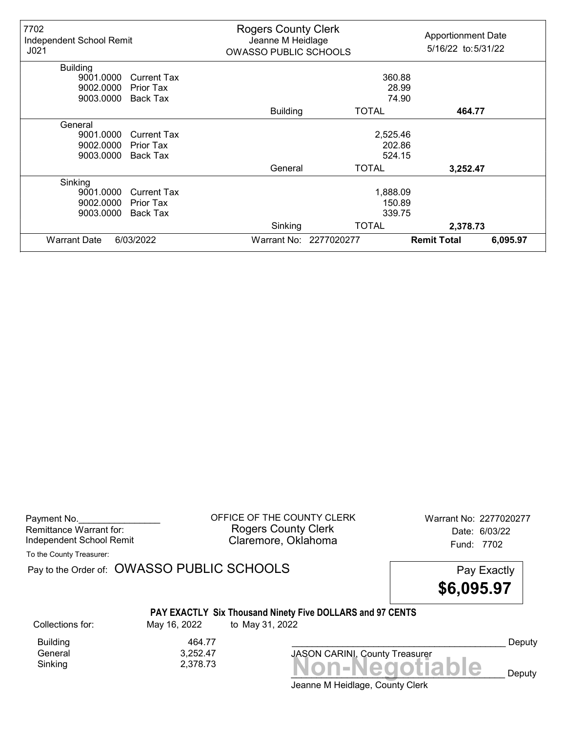| 7702<br>Independent School Remit<br>J <sub>021</sub> |                    | <b>Rogers County Clerk</b><br>Jeanne M Heidlage<br><b>OWASSO PUBLIC SCHOOLS</b> |                        | <b>Apportionment Date</b><br>5/16/22 to: 5/31/22 |          |
|------------------------------------------------------|--------------------|---------------------------------------------------------------------------------|------------------------|--------------------------------------------------|----------|
| <b>Building</b>                                      |                    |                                                                                 |                        |                                                  |          |
| 9001.0000                                            | <b>Current Tax</b> |                                                                                 | 360.88                 |                                                  |          |
| 9002.0000                                            | Prior Tax          |                                                                                 |                        | 28.99                                            |          |
| 9003.0000                                            | Back Tax           |                                                                                 |                        | 74.90                                            |          |
|                                                      |                    | <b>Building</b>                                                                 | TOTAL                  | 464.77                                           |          |
| General                                              |                    |                                                                                 |                        |                                                  |          |
| 9001.0000                                            | <b>Current Tax</b> |                                                                                 | 2,525.46               |                                                  |          |
| 9002.0000                                            | Prior Tax          |                                                                                 | 202.86                 |                                                  |          |
| 9003.0000                                            | Back Tax           |                                                                                 | 524.15                 |                                                  |          |
|                                                      |                    | General                                                                         | <b>TOTAL</b>           | 3,252.47                                         |          |
| Sinking                                              |                    |                                                                                 |                        |                                                  |          |
| 9001.0000                                            | <b>Current Tax</b> |                                                                                 | 1,888.09               |                                                  |          |
| 9002.0000                                            | Prior Tax          | 150.89                                                                          |                        |                                                  |          |
| 9003.0000                                            | Back Tax           | 339.75                                                                          |                        |                                                  |          |
|                                                      |                    | Sinking                                                                         | <b>TOTAL</b>           | 2,378.73                                         |          |
| <b>Warrant Date</b>                                  | 6/03/2022          |                                                                                 | Warrant No: 2277020277 | <b>Remit Total</b>                               | 6,095.97 |

Payment No. 2277020277<br>
OFFICE OF THE COUNTY CLERK Warrant No: 2277020277 Rogers County Clerk Date: 6/03/22 Independent School Remit Claremore, Oklahoma Fund: 7702

To the County Treasurer:

Pay to the Order of: OWASSO PUBLIC SCHOOLS Pay Exactly

\$6,095.97

# PAY EXACTLY Six Thousand Ninety Five DOLLARS and 97 CENTS

Collections for: May 16, 2022 to May 31, 2022

Building 464.77<br>1991 - General 1992 - Ceneral 1994

General 3,252.47

Jeanne M Heidlage, County Clerk  $Sinking$ <br> $2,378.73$ <br> $Non-Negotiable$ JASON CARINI, County Treasurer

Deputy

 $\mathbf{e}$  Deputy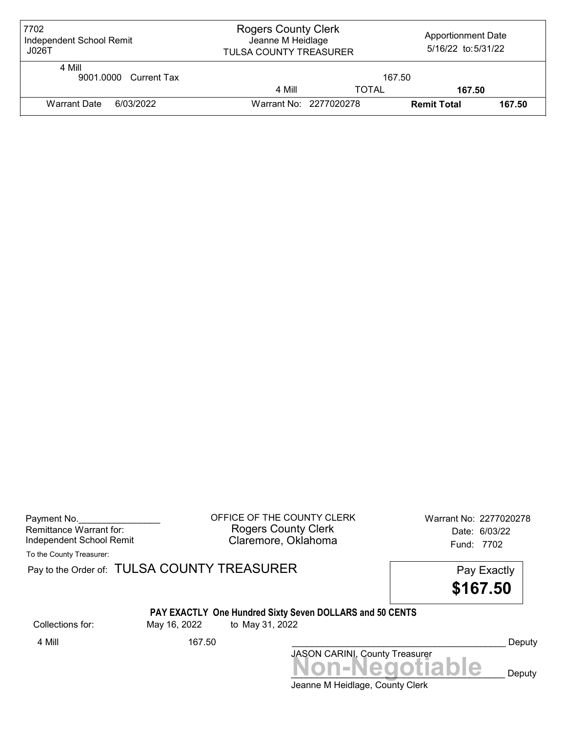| 7702<br>Independent School Remit<br>J026T | <b>Rogers County Clerk</b><br>Jeanne M Heidlage<br><b>TULSA COUNTY TREASURER</b> |              | <b>Apportionment Date</b><br>5/16/22 to: 5/31/22 |        |
|-------------------------------------------|----------------------------------------------------------------------------------|--------------|--------------------------------------------------|--------|
| 4 Mill<br>9001.0000 Current Tax           |                                                                                  | 167.50       |                                                  |        |
|                                           | 4 Mill                                                                           | <b>TOTAL</b> | 167.50                                           |        |
| Warrant Date<br>6/03/2022                 | Warrant No: 2277020278                                                           |              | <b>Remit Total</b>                               | 167.50 |

| Payment No.              |  |
|--------------------------|--|
| Remittance Warrant for:  |  |
| Independent School Remit |  |

OFFICE OF THE COUNTY CLERK Warrant No: 2277020278 Rogers County Clerk Date: 6/03/22 Claremore, Oklahoma<br>
Fund: 7702

To the County Treasurer:

Pay to the Order of: TULSA COUNTY TREASURER Pay to the Order of: TULSA COUNTY TREASURER

\$167.50

# PAY EXACTLY One Hundred Sixty Seven DOLLARS and 50 CENTS

Collections for: May 16, 2022 to May 31, 2022

Jeanne M Heidlage, County Clerk JASON CARINI, County Treasurer<br>
MON-Negotiable Deputy 4 Mill 167.50 Deputy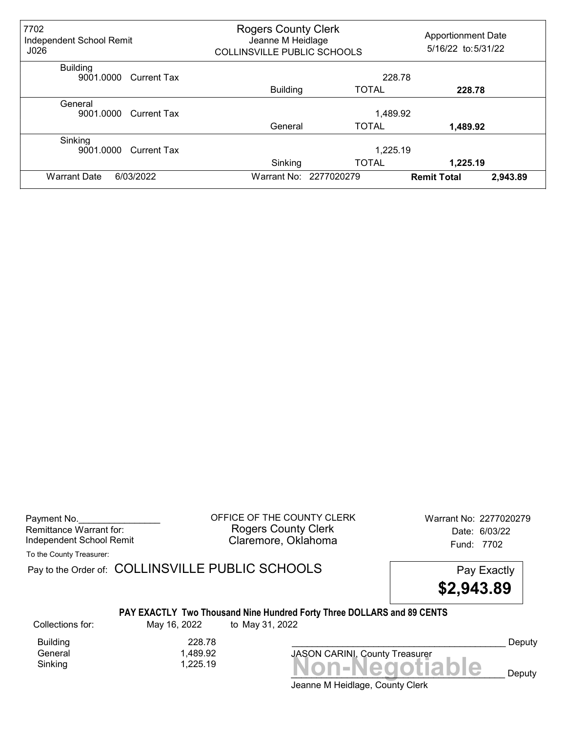| 7702<br>Independent School Remit<br>J026    | <b>Rogers County Clerk</b><br>Jeanne M Heidlage<br>COLLINSVILLE PUBLIC SCHOOLS |                        | <b>Apportionment Date</b><br>5/16/22 to: 5/31/22 |  |
|---------------------------------------------|--------------------------------------------------------------------------------|------------------------|--------------------------------------------------|--|
| <b>Building</b><br>9001.0000<br>Current Tax |                                                                                | 228.78                 |                                                  |  |
|                                             | <b>Building</b>                                                                | <b>TOTAL</b>           | 228.78                                           |  |
| General<br>9001.0000<br><b>Current Tax</b>  |                                                                                | 1,489.92               |                                                  |  |
|                                             | General                                                                        | <b>TOTAL</b>           | 1,489.92                                         |  |
| Sinking<br>9001.0000<br><b>Current Tax</b>  |                                                                                | 1,225.19               |                                                  |  |
|                                             | Sinking                                                                        | <b>TOTAL</b>           | 1,225.19                                         |  |
| 6/03/2022<br><b>Warrant Date</b>            |                                                                                | Warrant No: 2277020279 | 2,943.89<br><b>Remit Total</b>                   |  |

Payment No. 2277020279 COFFICE OF THE COUNTY CLERK Warrant No: 2277020279 Rogers County Clerk Date: 6/03/22 Independent School Remit **Claremore, Oklahoma** Fund: 7702

To the County Treasurer:

Pay to the Order of: COLLINSVILLE PUBLIC SCHOOLS Pay Exactly

\$2,943.89

#### PAY EXACTLY Two Thousand Nine Hundred Forty Three DOLLARS and 89 CENTS

Collections for: May 16, 2022 to May 31, 2022

Building 228.78<br>General 1,489.92 1,489.92

 $Sinking$   $1,225.19$   $Non-Negotiable$ JASON CARINI, County Treasurer

Deputy

Deputy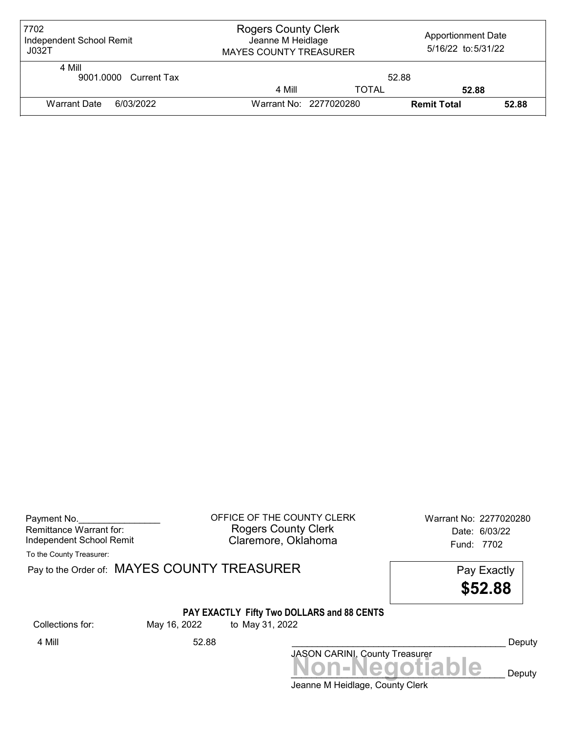| 7702<br>Independent School Remit<br>J032T | <b>Rogers County Clerk</b><br>Jeanne M Heidlage<br><b>MAYES COUNTY TREASURER</b> |              | <b>Apportionment Date</b><br>5/16/22 to:5/31/22 |       |
|-------------------------------------------|----------------------------------------------------------------------------------|--------------|-------------------------------------------------|-------|
| 4 Mill<br>9001.0000 Current Tax           |                                                                                  | 52.88        |                                                 |       |
|                                           | 4 Mill                                                                           | <b>TOTAL</b> | 52.88                                           |       |
| Warrant Date<br>6/03/2022                 | Warrant No: 2277020280                                                           |              | <b>Remit Total</b>                              | 52.88 |

| Payment No.              |  |
|--------------------------|--|
| Remittance Warrant for:  |  |
| Independent School Remit |  |

OFFICE OF THE COUNTY CLERK Warrant No: 2277020280 Rogers County Clerk Date: 6/03/22 Claremore, Oklahoma<br>Fund: 7702

To the County Treasurer:

Pay to the Order of: MAYES COUNTY TREASURER Pay to the Order of: MAYES COUNTY TREASURER

\$52.88

### PAY EXACTLY Fifty Two DOLLARS and 88 CENTS

Collections for: May 16, 2022 to May 31, 2022

Jeanne M Heidlage, County Clerk JASON CARINI, County Treasurer<br>
MON-Negotiable Deputy 4 Mill 52.88 \_\_\_\_\_\_\_\_\_\_\_\_\_\_\_\_\_\_\_\_\_\_\_\_\_\_\_\_\_\_\_\_\_\_\_\_\_\_\_\_\_\_ Deputy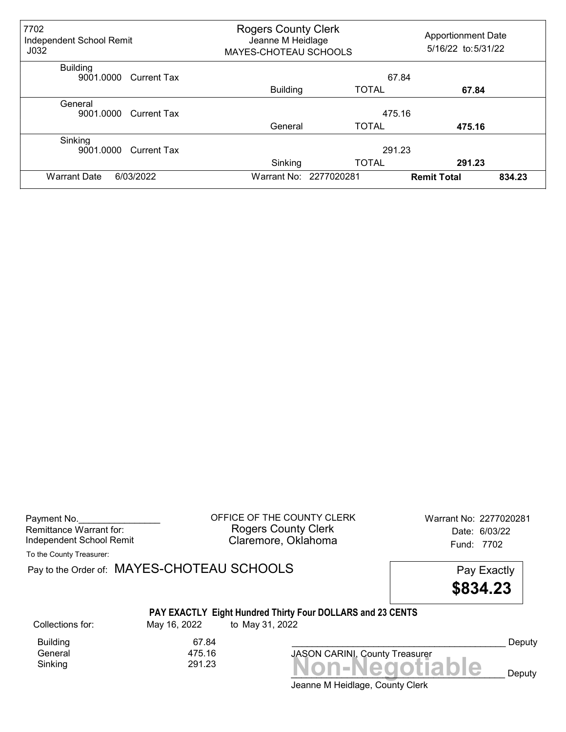| 7702<br>Independent School Remit<br>J <sub>032</sub> |                 | <b>Rogers County Clerk</b><br>Jeanne M Heidlage<br>MAYES-CHOTEAU SCHOOLS |                    | <b>Apportionment Date</b><br>5/16/22 to: 5/31/22 |  |
|------------------------------------------------------|-----------------|--------------------------------------------------------------------------|--------------------|--------------------------------------------------|--|
| <b>Building</b><br>9001.0000<br>Current Tax          |                 | 67.84                                                                    |                    |                                                  |  |
|                                                      | <b>Building</b> | <b>TOTAL</b>                                                             | 67.84              |                                                  |  |
| General<br>9001.0000<br><b>Current Tax</b>           |                 | 475.16                                                                   |                    |                                                  |  |
|                                                      | General         | <b>TOTAL</b>                                                             | 475.16             |                                                  |  |
| Sinking<br>9001.0000<br><b>Current Tax</b>           |                 | 291.23                                                                   |                    |                                                  |  |
|                                                      | Sinking         | <b>TOTAL</b>                                                             | 291.23             |                                                  |  |
| 6/03/2022<br><b>Warrant Date</b>                     |                 | Warrant No: 2277020281                                                   | <b>Remit Total</b> | 834.23                                           |  |

| Payment No.              |  |
|--------------------------|--|
| Remittance Warrant for:  |  |
| Independent School Remit |  |

OFFICE OF THE COUNTY CLERK Warrant No: 2277020281 Rogers County Clerk Date: 6/03/22 Claremore, Oklahoma<br>
Fund: 7702

To the County Treasurer:

Pay to the Order of: MAYES-CHOTEAU SCHOOLS Pay Exactly

\$834.23

|  | PAY EXACTLY Eight Hundred Thirty Four DOLLARS and 23 CENTS |
|--|------------------------------------------------------------|
|--|------------------------------------------------------------|

Collections for: May 16, 2022 to May 31, 2022

 $Sinking$ <br> $Sinking$   $291.23$   $$ Building 67.84<br>General 175.16 General

Jeanne M Heidlage, County Clerk

JASON CARINI, County Treasurer

 $\overline{\text{O}}$   $\overline{\text{P}}$   $\overline{\text{D}}$   $\overline{\text{D}}$   $\overline{\text{D}}$ Deputy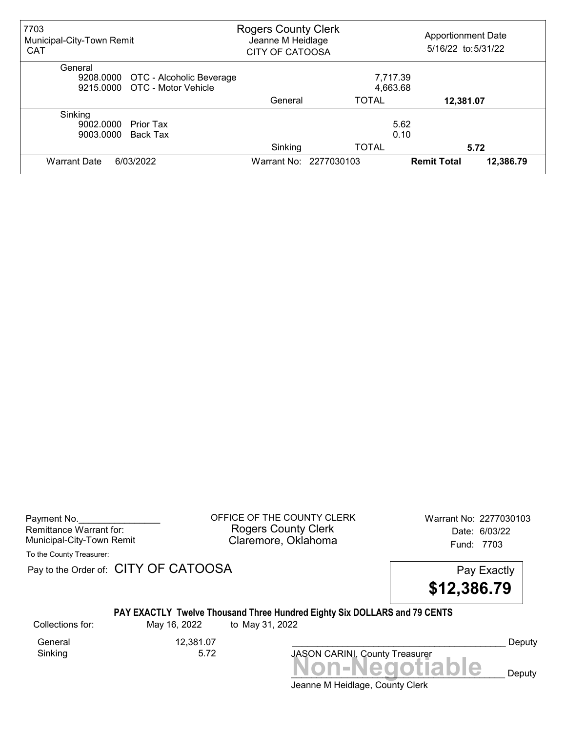| 7703<br>Municipal-City-Town Remit<br><b>CAT</b> |         | <b>Rogers County Clerk</b><br>Jeanne M Heidlage<br><b>CITY OF CATOOSA</b> |                    | <b>Apportionment Date</b><br>5/16/22 to: 5/31/22 |  |
|-------------------------------------------------|---------|---------------------------------------------------------------------------|--------------------|--------------------------------------------------|--|
| General                                         |         |                                                                           |                    |                                                  |  |
| 9208.0000 OTC - Alcoholic Beverage              |         | 7,717.39                                                                  |                    |                                                  |  |
| 9215,0000 OTC - Motor Vehicle                   |         | 4,663.68                                                                  |                    |                                                  |  |
|                                                 | General | <b>TOTAL</b>                                                              | 12,381.07          |                                                  |  |
| Sinking                                         |         |                                                                           |                    |                                                  |  |
| 9002.0000<br>Prior Tax                          |         |                                                                           | 5.62               |                                                  |  |
| 9003.0000<br>Back Tax                           |         |                                                                           | 0.10               |                                                  |  |
|                                                 | Sinking | <b>TOTAL</b>                                                              |                    | 5.72                                             |  |
| 6/03/2022<br><b>Warrant Date</b>                |         | Warrant No: 2277030103                                                    | <b>Remit Total</b> | 12,386.79                                        |  |

| Payment No.               |  |
|---------------------------|--|
| Remittance Warrant for:   |  |
| Municipal-City-Town Remit |  |

OFFICE OF THE COUNTY CLERK Warrant No: 2277030103 Rogers County Clerk Date: 6/03/22 Claremore, Oklahoma<br>Fund: 7703

To the County Treasurer:

Pay to the Order of: CITY OF CATOOSA Pay to the Order of: CITY OF CATOOSA



### PAY EXACTLY Twelve Thousand Three Hundred Eighty Six DOLLARS and 79 CENTS

Collections for: May 16, 2022 to May 31, 2022

Sinking

General 12,381.07<br>Sinking 5.72

Deputy

Jeanne M Heidlage, County Clerk JASON CARINI, County Treasurer<br>
MON-Negotiable Deputy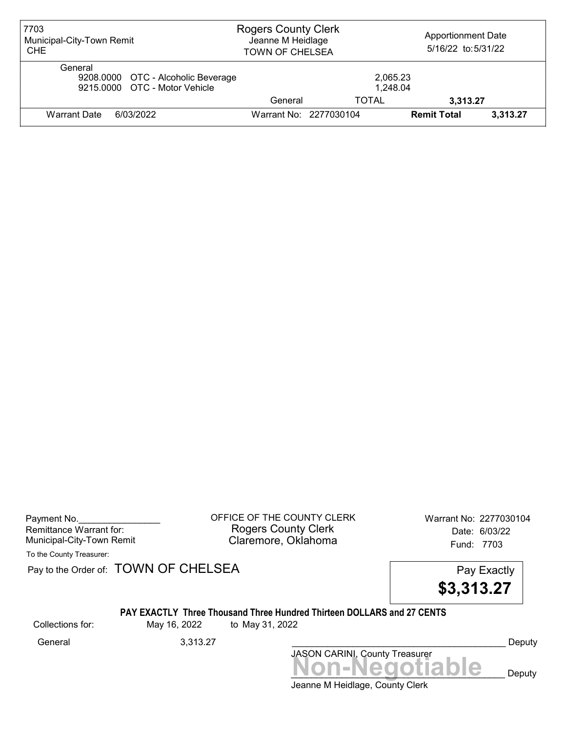| 7703<br>Municipal-City-Town Remit<br><b>CHE</b>                                | <b>Rogers County Clerk</b><br>Jeanne M Heidlage<br><b>TOWN OF CHELSEA</b> |                        | <b>Apportionment Date</b><br>5/16/22 to:5/31/22 |          |
|--------------------------------------------------------------------------------|---------------------------------------------------------------------------|------------------------|-------------------------------------------------|----------|
| General<br>9208.0000 OTC - Alcoholic Beverage<br>9215,0000 OTC - Motor Vehicle |                                                                           | 2,065.23<br>1,248.04   |                                                 |          |
|                                                                                | General                                                                   | <b>TOTAL</b>           | 3,313.27                                        |          |
| 6/03/2022<br><b>Warrant Date</b>                                               |                                                                           | Warrant No: 2277030104 | <b>Remit Total</b>                              | 3,313.27 |

Payment No. 2277030104 COUNTY CLERK Warrant No: 2277030104 Rogers County Clerk Date: 6/03/22 Municipal-City-Town Remit Claremore, Oklahoma Fund: 7703

To the County Treasurer:

Pay to the Order of: TOWN OF CHELSEA Pay to the Order of: TOWN OF CHELSEA

\$3,313.27

### PAY EXACTLY Three Thousand Three Hundred Thirteen DOLLARS and 27 CENTS

Collections for: May 16, 2022 to May 31, 2022

Jeanne M Heidlage, County Clerk Non-Negotiable Deputy JASON CARINI, County Treasurer General 2,313.27 Ceneral 2,300 Seneral 2,313.27 Ceneral 2,313.27 Ceneral 2, Beputy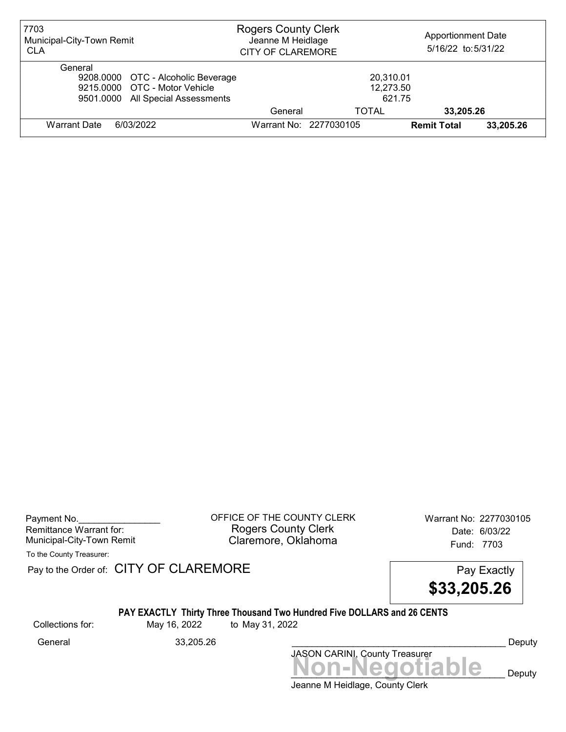| 7703<br>Municipal-City-Town Remit<br><b>CLA</b>                                                                     | <b>Rogers County Clerk</b><br>Jeanne M Heidlage<br><b>CITY OF CLAREMORE</b> |                                  | <b>Apportionment Date</b><br>5/16/22 to: 5/31/22 |           |
|---------------------------------------------------------------------------------------------------------------------|-----------------------------------------------------------------------------|----------------------------------|--------------------------------------------------|-----------|
| General<br>9208.0000 OTC - Alcoholic Beverage<br>9215,0000 OTC - Motor Vehicle<br>9501.0000 All Special Assessments |                                                                             | 20,310.01<br>12,273.50<br>621.75 |                                                  |           |
|                                                                                                                     | General                                                                     | TOTAL                            | 33,205.26                                        |           |
| <b>Warrant Date</b><br>6/03/2022                                                                                    | Warrant No: 2277030105                                                      |                                  | <b>Remit Total</b>                               | 33,205.26 |

Payment No. 2277030105 Rogers County Clerk Date: 6/03/22 Municipal-City-Town Remit **Example 2018** Claremore, Oklahoma **Example 2018** Fund: 7703

To the County Treasurer:

Pay to the Order of: CITY OF CLAREMORE Pay to the Order of: CITY OF CLAREMORE



#### PAY EXACTLY Thirty Three Thousand Two Hundred Five DOLLARS and 26 CENTS

Collections for: May 16, 2022 to May 31, 2022

General 33,205.26 \_\_\_\_\_\_\_\_\_\_\_\_\_\_\_\_\_\_\_\_\_\_\_\_\_\_\_\_\_\_\_\_\_\_\_\_\_\_\_\_\_\_ Deputy

Non-Negotiable Deputy JASON CARINI, County Treasurer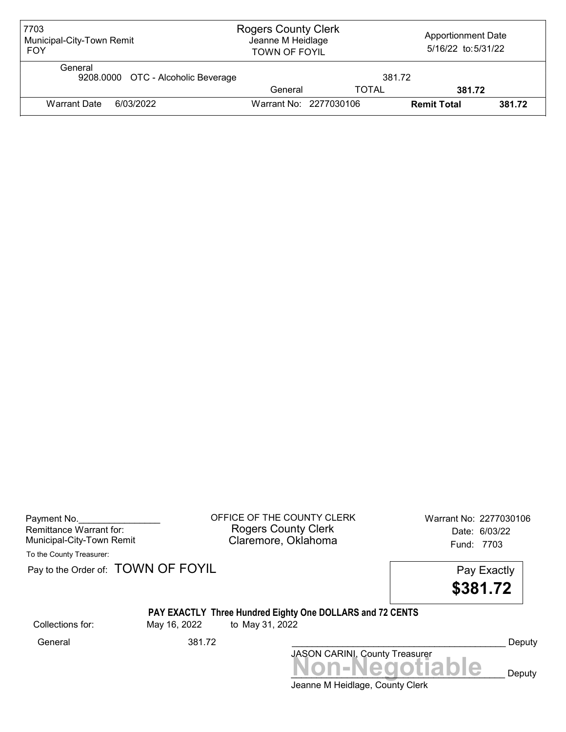| 7703<br>Municipal-City-Town Remit<br><b>FOY</b> | <b>Rogers County Clerk</b><br>Jeanne M Heidlage<br><b>TOWN OF FOYIL</b> |              | <b>Apportionment Date</b><br>5/16/22 to:5/31/22 |        |
|-------------------------------------------------|-------------------------------------------------------------------------|--------------|-------------------------------------------------|--------|
| General<br>9208.0000 OTC - Alcoholic Beverage   |                                                                         | 381.72       |                                                 |        |
|                                                 | General                                                                 | <b>TOTAL</b> | 381.72                                          |        |
| <b>Warrant Date</b><br>6/03/2022                | Warrant No: 2277030106                                                  |              | <b>Remit Total</b>                              | 381.72 |

| Payment No.               |  |
|---------------------------|--|
| Remittance Warrant for:   |  |
| Municipal-City-Town Remit |  |

Payment No. 2277030106<br>
OFFICE OF THE COUNTY CLERK Warrant No: 2277030106 Rogers County Clerk **Date:** 6/03/22 Municipal-City-Town Remit **Example 20 Municipal-City-Town Remit** Claremore, Oklahoma

To the County Treasurer:

Collections for:

Pay to the Order of: **TOWN OF FOYIL** Pay Exactly

|                  |              | . 5.7 2.0.00 1.00<br>\$381.72                                                |        |
|------------------|--------------|------------------------------------------------------------------------------|--------|
| collections for: | May 16, 2022 | PAY EXACTLY Three Hundred Eighty One DOLLARS and 72 CENTS<br>to May 31, 2022 |        |
| General          | 381.72       |                                                                              | Deputy |
|                  |              | JASON CARINI, County Treasurer                                               |        |
|                  |              | <b>Non-Negotiable</b>                                                        | Deputy |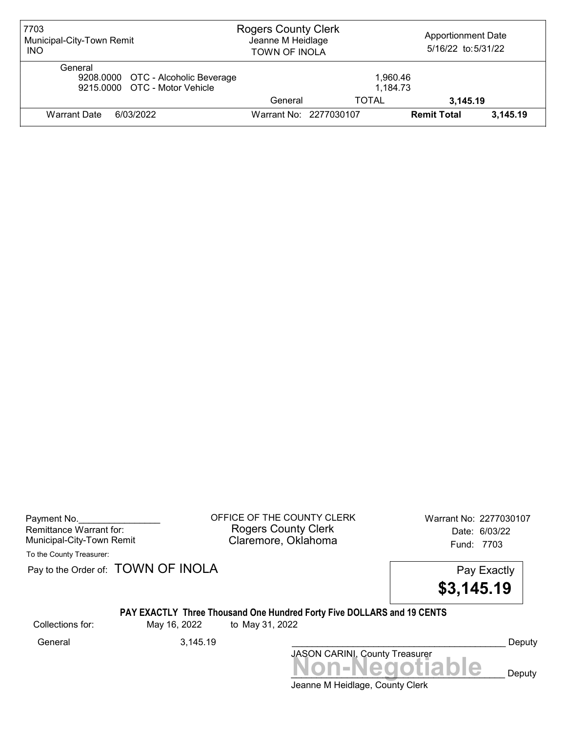| 7703<br>Municipal-City-Town Remit<br><b>INO</b>                                | <b>Rogers County Clerk</b><br>Jeanne M Heidlage<br><b>TOWN OF INOLA</b> |                      | <b>Apportionment Date</b><br>5/16/22 to:5/31/22 |          |
|--------------------------------------------------------------------------------|-------------------------------------------------------------------------|----------------------|-------------------------------------------------|----------|
| General<br>9208.0000 OTC - Alcoholic Beverage<br>9215,0000 OTC - Motor Vehicle |                                                                         | 1.960.46<br>1,184.73 |                                                 |          |
|                                                                                | General                                                                 | <b>TOTAL</b>         | 3,145.19                                        |          |
| 6/03/2022<br><b>Warrant Date</b>                                               | Warrant No: 2277030107                                                  |                      | <b>Remit Total</b>                              | 3,145.19 |

Payment No. 2277030107<br>
OFFICE OF THE COUNTY CLERK Warrant No: 2277030107 Rogers County Clerk Date: 6/03/22 Municipal-City-Town Remit **Example 2018** Claremore, Oklahoma **Example 2018** Fund: 7703

To the County Treasurer:

Pay to the Order of: TOWN OF INOLA Pay Exactly

\$3,145.19

## PAY EXACTLY Three Thousand One Hundred Forty Five DOLLARS and 19 CENTS

Collections for: May 16, 2022 to May 31, 2022

JASON CARINI, County Treasurer General 3,145.19 \_\_\_\_\_\_\_\_\_\_\_\_\_\_\_\_\_\_\_\_\_\_\_\_\_\_\_\_\_\_\_\_\_\_\_\_\_\_\_\_\_\_ Deputy

Jeanne M Heidlage, County Clerk Non-Negotiable Deputy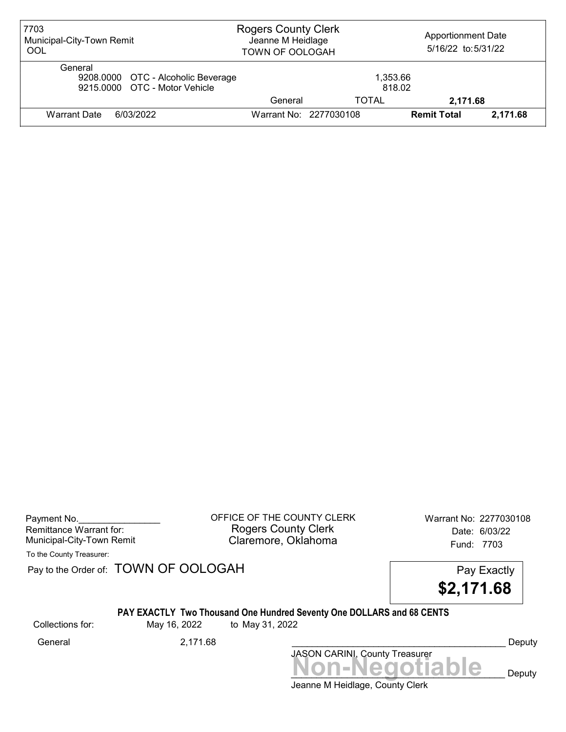| 7703<br>Municipal-City-Town Remit<br>OOL                                       | <b>Rogers County Clerk</b><br>Jeanne M Heidlage<br><b>TOWN OF OOLOGAH</b> |                        | <b>Apportionment Date</b><br>5/16/22 to:5/31/22 |          |
|--------------------------------------------------------------------------------|---------------------------------------------------------------------------|------------------------|-------------------------------------------------|----------|
| General<br>9208.0000 OTC - Alcoholic Beverage<br>9215,0000 OTC - Motor Vehicle |                                                                           | 1,353.66<br>818.02     |                                                 |          |
|                                                                                | General                                                                   | TOTAL                  | 2,171.68                                        |          |
| 6/03/2022<br><b>Warrant Date</b>                                               |                                                                           | Warrant No: 2277030108 | <b>Remit Total</b>                              | 2,171.68 |

| Payment No.               |  |
|---------------------------|--|
| Remittance Warrant for:   |  |
| Municipal-City-Town Remit |  |

OFFICE OF THE COUNTY CLERK Warrant No: 2277030108 Rogers County Clerk Date: 6/03/22 Claremore, Oklahoma<br>Fund: 7703

To the County Treasurer:

Pay to the Order of: TOWN OF OOLOGAH Pay Exactly



### PAY EXACTLY Two Thousand One Hundred Seventy One DOLLARS and 68 CENTS

Collections for: May 16, 2022 to May 31, 2022

Jeanne M Heidlage, County Clerk JASON CARINI, County Treasurer<br>
MON-Negotiable Deputy General 2,171.68 \_\_\_\_\_\_\_\_\_\_\_\_\_\_\_\_\_\_\_\_\_\_\_\_\_\_\_\_\_\_\_\_\_\_\_\_\_\_\_\_\_\_ Deputy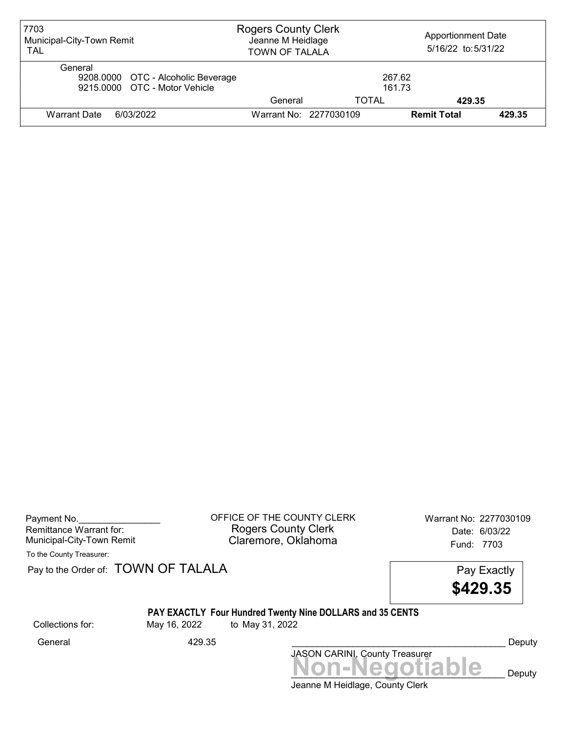| 7703<br>Municipal-City-Town Remit<br><b>TAL</b>                                | <b>Rogers County Clerk</b><br>Jeanne M Heidlage<br><b>TOWN OF TALALA</b> |                  | <b>Apportionment Date</b><br>5/16/22 to:5/31/22 |        |
|--------------------------------------------------------------------------------|--------------------------------------------------------------------------|------------------|-------------------------------------------------|--------|
| General<br>9208.0000 OTC - Alcoholic Beverage<br>9215.0000 OTC - Motor Vehicle |                                                                          | 267.62<br>161.73 |                                                 |        |
|                                                                                | General                                                                  | TOTAL            | 429.35                                          |        |
| <b>Warrant Date</b><br>6/03/2022                                               | Warrant No: 2277030109                                                   |                  | <b>Remit Total</b>                              | 429.35 |

| Payment No.               |  |
|---------------------------|--|
| Remittance Warrant for:   |  |
| Municipal-City-Town Remit |  |

Payment No. 2277030109<br>
OFFICE OF THE COUNTY CLERK Warrant No: 2277030109 Rogers County Clerk **Date:** 6/03/22 Municipal-City-Town Remit **Example 20 Municipal-City-Town Remit** Claremore, Oklahoma

To the County Treasurer:

Pay to the Order of: **TOWN OF TALALA** Pay Exactly

|                  | $\alpha$ w and one on $\alpha$ . To $\alpha$ is the $\alpha$ is the set of $\alpha$ | \$429.35                                                                     | i ay ∟∧a∪uy |
|------------------|-------------------------------------------------------------------------------------|------------------------------------------------------------------------------|-------------|
| Collections for: | May 16, 2022                                                                        | PAY EXACTLY Four Hundred Twenty Nine DOLLARS and 35 CENTS<br>to May 31, 2022 |             |
| General          | 429.35                                                                              |                                                                              | Deputy      |
|                  |                                                                                     | <b>JASON CARINI, County Treasurer</b><br>Non-Negotiable                      | Deputy      |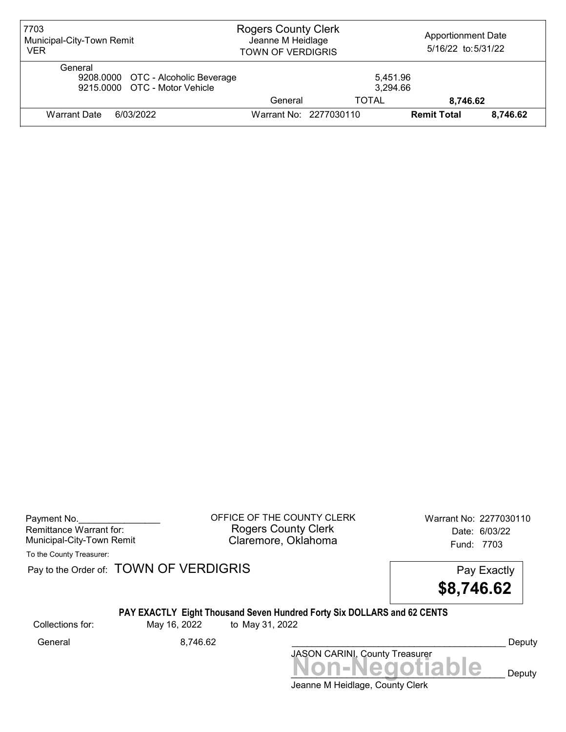| 7703<br>Municipal-City-Town Remit<br><b>VER</b>                                | <b>Rogers County Clerk</b><br>Jeanne M Heidlage<br><b>TOWN OF VERDIGRIS</b> |                        | <b>Apportionment Date</b><br>5/16/22 to:5/31/22 |          |
|--------------------------------------------------------------------------------|-----------------------------------------------------------------------------|------------------------|-------------------------------------------------|----------|
| General<br>9208.0000 OTC - Alcoholic Beverage<br>9215,0000 OTC - Motor Vehicle |                                                                             | 5.451.96<br>3,294.66   |                                                 |          |
|                                                                                | General                                                                     | TOTAL                  | 8,746.62                                        |          |
| Warrant Date<br>6/03/2022                                                      |                                                                             | Warrant No: 2277030110 | <b>Remit Total</b>                              | 8.746.62 |

Payment No. 2277030110 CONTICE OF THE COUNTY CLERK Warrant No: 2277030110 Rogers County Clerk Date: 6/03/22 Municipal-City-Town Remit **Example 2018** Claremore, Oklahoma **Example 2018** Fund: 7703

To the County Treasurer:

Pay to the Order of: TOWN OF VERDIGRIS Pay to the Order of: TOWN OF VERDIGRIS



## PAY EXACTLY Eight Thousand Seven Hundred Forty Six DOLLARS and 62 CENTS

Collections for: May 16, 2022 to May 31, 2022

JASON CARINI, County Treasurer General 8,746.62 \_\_\_\_\_\_\_\_\_\_\_\_\_\_\_\_\_\_\_\_\_\_\_\_\_\_\_\_\_\_\_\_\_\_\_\_\_\_\_\_\_\_ Deputy

Jeanne M Heidlage, County Clerk Non-Negotiable Deputy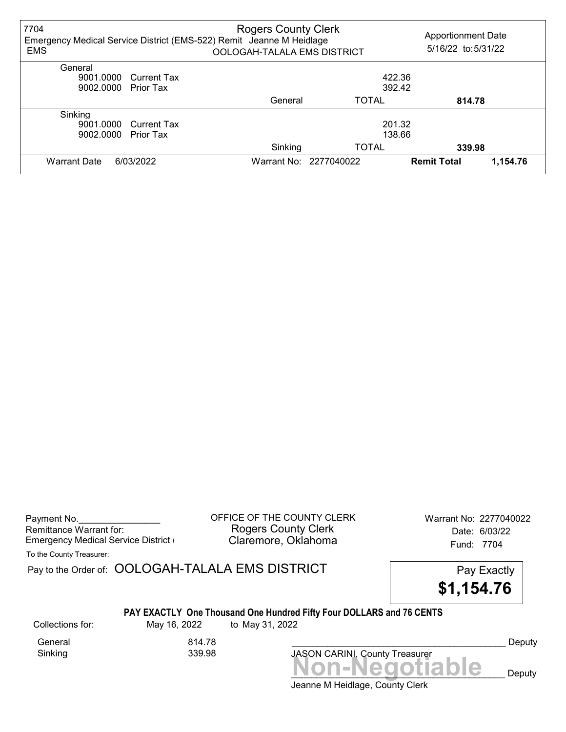| 7704<br>Emergency Medical Service District (EMS-522) Remit Jeanne M Heidlage<br><b>EMS</b> |                       | <b>Rogers County Clerk</b><br>OOLOGAH-TALALA EMS DISTRICT |                        | <b>Apportionment Date</b><br>5/16/22 to: 5/31/22 |
|--------------------------------------------------------------------------------------------|-----------------------|-----------------------------------------------------------|------------------------|--------------------------------------------------|
| General                                                                                    |                       |                                                           |                        |                                                  |
|                                                                                            | 9001.0000 Current Tax |                                                           |                        | 422.36                                           |
| 9002.0000 Prior Tax                                                                        |                       |                                                           |                        | 392.42                                           |
|                                                                                            |                       | General                                                   | <b>TOTAL</b>           | 814.78                                           |
| Sinking                                                                                    |                       |                                                           |                        |                                                  |
|                                                                                            | 9001.0000 Current Tax |                                                           |                        | 201.32                                           |
| 9002.0000                                                                                  | <b>Prior Tax</b>      | 138.66                                                    |                        |                                                  |
|                                                                                            |                       | Sinking                                                   | <b>TOTAL</b>           | 339.98                                           |
| <b>Warrant Date</b>                                                                        | 6/03/2022             |                                                           | Warrant No: 2277040022 | <b>Remit Total</b><br>1,154.76                   |

| Payment No.                        |
|------------------------------------|
| Remittance Warrant for:            |
| Emergency Medical Service District |

Sinking 339.98

OFFICE OF THE COUNTY CLERK Warrant No: 2277040022 Rogers County Clerk Date: 6/03/22 Claremore, Oklahoma **Emergency Claremore, Oklahoma** 

To the County Treasurer:

Pay to the Order of: OOLOGAH-TALALA EMS DISTRICT Pay Exactly



### PAY EXACTLY One Thousand One Hundred Fifty Four DOLLARS and 76 CENTS

General 814.78

Collections for: May 16, 2022 to May 31, 2022

Deputy

Jeanne M Heidlage, County Clerk Non-Negotiable Deputy

JASON CARINI, County Treasurer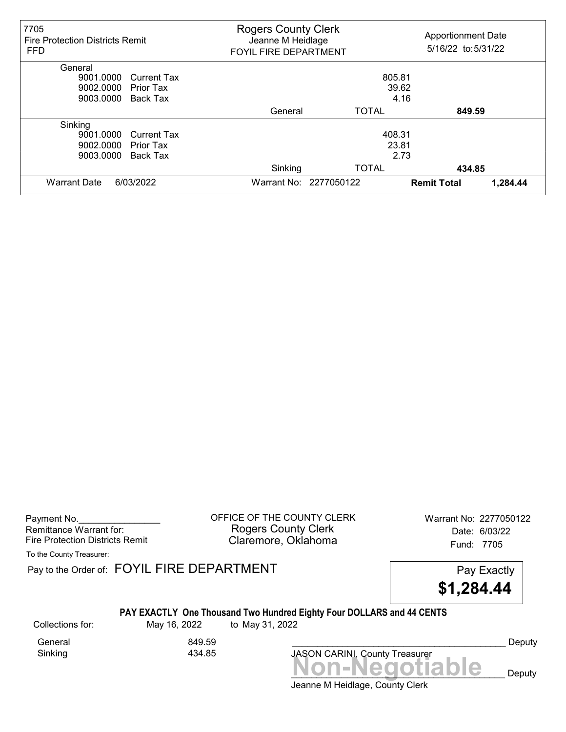| 7705<br><b>Fire Protection Districts Remit</b><br><b>FFD</b> | <b>Rogers County Clerk</b><br>Jeanne M Heidlage<br><b>FOYIL FIRE DEPARTMENT</b> | <b>Apportionment Date</b><br>5/16/22 to: 5/31/22 |                    |          |
|--------------------------------------------------------------|---------------------------------------------------------------------------------|--------------------------------------------------|--------------------|----------|
| General                                                      |                                                                                 |                                                  |                    |          |
| 9001.0000<br><b>Current Tax</b>                              |                                                                                 | 805.81                                           |                    |          |
| 9002.0000<br>Prior Tax                                       |                                                                                 | 39.62                                            |                    |          |
| 9003.0000<br>Back Tax                                        |                                                                                 | 4.16                                             |                    |          |
|                                                              | General                                                                         | TOTAL                                            | 849.59             |          |
| Sinking                                                      |                                                                                 |                                                  |                    |          |
| 9001.0000<br><b>Current Tax</b>                              |                                                                                 | 408.31                                           |                    |          |
| 9002.0000<br>Prior Tax                                       |                                                                                 | 23.81                                            |                    |          |
| 9003.0000<br>Back Tax                                        |                                                                                 | 2.73                                             |                    |          |
|                                                              | Sinking                                                                         | <b>TOTAL</b>                                     | 434.85             |          |
| <b>Warrant Date</b><br>6/03/2022                             |                                                                                 | Warrant No: 2277050122                           | <b>Remit Total</b> | 1,284.44 |

Payment No. 2277050122 COFFICE OF THE COUNTY CLERK Warrant No: 2277050122 Rogers County Clerk Date: 6/03/22 Fire Protection Districts Remit **Claremore, Oklahoma** Fund: 7705

To the County Treasurer:

Pay to the Order of: FOYIL FIRE DEPARTMENT FREE PAY EXACTLY



### PAY EXACTLY One Thousand Two Hundred Eighty Four DOLLARS and 44 CENTS

Sinking

General 849.59<br>Sinking 3434.85

Collections for: May 16, 2022 to May 31, 2022



Deputy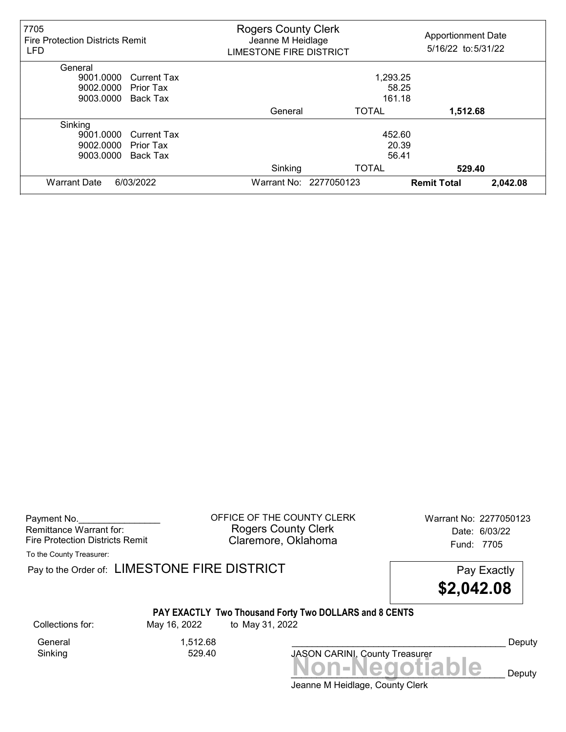| 7705<br><b>Fire Protection Districts Remit</b><br><b>LFD</b> | <b>Rogers County Clerk</b><br><b>Apportionment Date</b><br>Jeanne M Heidlage<br>5/16/22 to:5/31/22<br><b>LIMESTONE FIRE DISTRICT</b> |                        |                    |          |
|--------------------------------------------------------------|--------------------------------------------------------------------------------------------------------------------------------------|------------------------|--------------------|----------|
| General                                                      |                                                                                                                                      |                        |                    |          |
| 9001.0000<br><b>Current Tax</b>                              |                                                                                                                                      | 1,293.25               |                    |          |
| 9002.0000<br><b>Prior Tax</b>                                |                                                                                                                                      | 58.25                  |                    |          |
| 9003.0000<br>Back Tax                                        |                                                                                                                                      | 161.18                 |                    |          |
|                                                              | General                                                                                                                              | <b>TOTAL</b>           | 1,512.68           |          |
| Sinking                                                      |                                                                                                                                      |                        |                    |          |
| 9001.0000<br><b>Current Tax</b>                              |                                                                                                                                      | 452.60                 |                    |          |
| 9002.0000<br><b>Prior Tax</b>                                |                                                                                                                                      | 20.39                  |                    |          |
| 9003.0000<br>Back Tax                                        |                                                                                                                                      | 56.41                  |                    |          |
|                                                              | Sinking                                                                                                                              | <b>TOTAL</b>           | 529.40             |          |
| 6/03/2022<br><b>Warrant Date</b>                             |                                                                                                                                      | Warrant No: 2277050123 | <b>Remit Total</b> | 2,042.08 |

| Payment No.                     |
|---------------------------------|
| Remittance Warrant for:         |
| Fire Protection Districts Remit |

OFFICE OF THE COUNTY CLERK Warrant No: 2277050123 Rogers County Clerk Date: 6/03/22 Claremore, Oklahoma Fund: 7705

To the County Treasurer:

Pay to the Order of: LIMESTONE FIRE DISTRICT Pay Exactly Pay Exactly

\$2,042.08

# PAY EXACTLY Two Thousand Forty Two DOLLARS and 8 CENTS

Collections for: May 16, 2022 to May 31, 2022

Sinking 529.40

General 1,512.68

JASON CARINI, County Treasurer<br>
MON-Negotiable Deputy

Deputy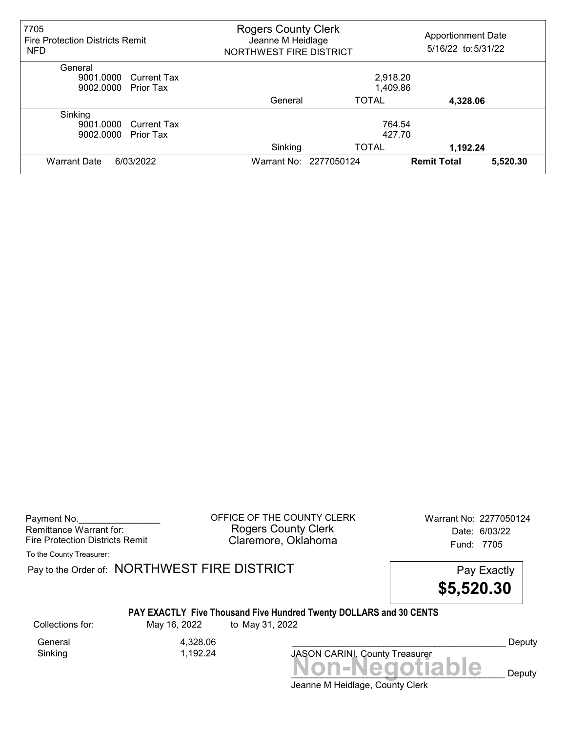| 7705<br><b>Fire Protection Districts Remit</b><br><b>NFD</b> | <b>Rogers County Clerk</b><br>Jeanne M Heidlage<br>NORTHWEST FIRE DISTRICT |                        | <b>Apportionment Date</b><br>5/16/22 to: 5/31/22 |          |
|--------------------------------------------------------------|----------------------------------------------------------------------------|------------------------|--------------------------------------------------|----------|
| General                                                      |                                                                            |                        |                                                  |          |
| 9001.0000 Current Tax                                        |                                                                            | 2,918.20               |                                                  |          |
| 9002.0000<br><b>Prior Tax</b>                                |                                                                            | 1,409.86               |                                                  |          |
|                                                              | General                                                                    | <b>TOTAL</b>           | 4,328.06                                         |          |
| Sinking                                                      |                                                                            |                        |                                                  |          |
| 9001.0000 Current Tax                                        |                                                                            | 764.54                 |                                                  |          |
| 9002.0000<br><b>Prior Tax</b>                                | 427.70                                                                     |                        |                                                  |          |
|                                                              | Sinking                                                                    | <b>TOTAL</b>           | 1.192.24                                         |          |
| 6/03/2022<br><b>Warrant Date</b>                             |                                                                            | Warrant No: 2277050124 | <b>Remit Total</b>                               | 5,520.30 |

Payment No. 2277050124 COUNTY CLERK Warrant No: 2277050124 Rogers County Clerk Date: 6/03/22 Fire Protection Districts Remit **Claremore, Oklahoma** Fund: 7705

To the County Treasurer:

Pay to the Order of: NORTHWEST FIRE DISTRICT FIRE Pay Exactly

\$5,520.30

#### PAY EXACTLY Five Thousand Five Hundred Twenty DOLLARS and 30 CENTS

General 4,328.06<br>Sinking 1,192.24

1,192.24

Collections for: May 16, 2022 to May 31, 2022

Non-Negotiable Deputy JASON CARINI, County Treasurer

Deputy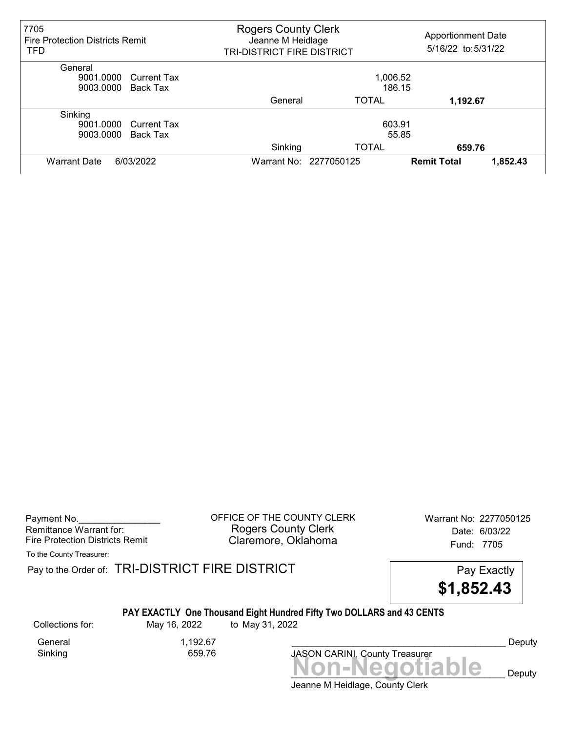| 7705<br><b>Fire Protection Districts Remit</b><br><b>TFD</b>     | <b>Rogers County Clerk</b><br><b>Apportionment Date</b><br>Jeanne M Heidlage<br>5/16/22 to: 5/31/22<br>TRI-DISTRICT FIRE DISTRICT |                                 |                    |          |
|------------------------------------------------------------------|-----------------------------------------------------------------------------------------------------------------------------------|---------------------------------|--------------------|----------|
| General<br>9001.0000 Current Tax<br>9003.0000 Back Tax           | 1,006.52<br>186.15                                                                                                                |                                 |                    |          |
|                                                                  | General                                                                                                                           | <b>TOTAL</b>                    | 1,192.67           |          |
| Sinking<br>9001.0000 Current Tax<br>9003.0000<br><b>Back Tax</b> | Sinking                                                                                                                           | 603.91<br>55.85<br><b>TOTAL</b> | 659.76             |          |
| 6/03/2022<br><b>Warrant Date</b>                                 |                                                                                                                                   | Warrant No: 2277050125          | <b>Remit Total</b> | 1,852.43 |

Payment No. 2277050125 Rogers County Clerk Date: 6/03/22 Fire Protection Districts Remit **Claremore, Oklahoma** Fund: 7705

To the County Treasurer:

Pay to the Order of: TRI-DISTRICT FIRE DISTRICT **Pay Exactly** Pay Exactly



## PAY EXACTLY One Thousand Eight Hundred Fifty Two DOLLARS and 43 CENTS

General 1,192.67 Sinking 659.76

Collections for: May 16, 2022 to May 31, 2022

JASON CARINI, County Treasurer

Deputy

Jeanne M Heidlage, County Clerk Non-Negotiable Deputy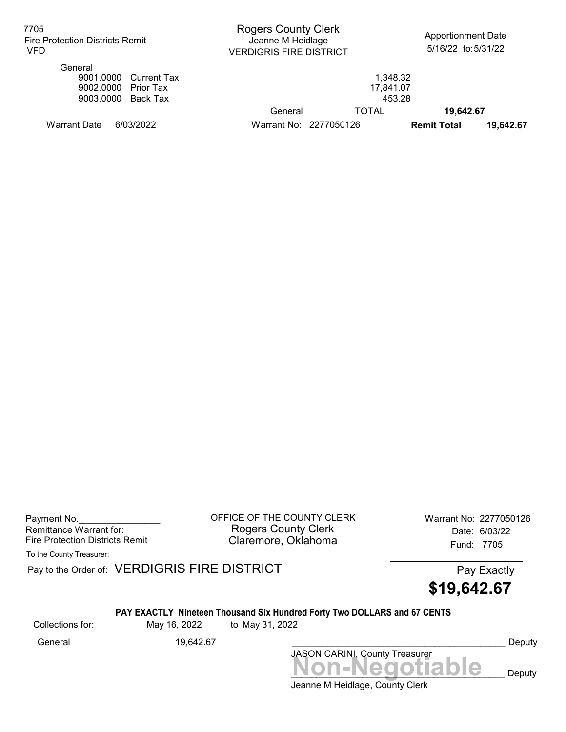| 7705<br><b>Fire Protection Districts Remit</b><br><b>VFD</b>                  | <b>Rogers County Clerk</b><br><b>Apportionment Date</b><br>Jeanne M Heidlage<br>5/16/22 to: 5/31/22<br><b>VERDIGRIS FIRE DISTRICT</b> |       |                    |           |
|-------------------------------------------------------------------------------|---------------------------------------------------------------------------------------------------------------------------------------|-------|--------------------|-----------|
| General<br>9001.0000 Current Tax<br>9002.0000 Prior Tax<br>9003.0000 Back Tax | 1,348.32<br>17,841.07<br>453.28                                                                                                       |       |                    |           |
|                                                                               | General                                                                                                                               | TOTAL | 19,642.67          |           |
| 6/03/2022<br><b>Warrant Date</b>                                              | Warrant No: 2277050126                                                                                                                |       | <b>Remit Total</b> | 19,642.67 |

Payment No. 2277050126 COUNTY CLERK Warrant No: 2277050126 Rogers County Clerk Date: 6/03/22 Fire Protection Districts Remit **Claremore, Oklahoma** Fund: 7705

To the County Treasurer:

Pay to the Order of: VERDIGRIS FIRE DISTRICT Pay Exactly

\$19,642.67

## PAY EXACTLY Nineteen Thousand Six Hundred Forty Two DOLLARS and 67 CENTS

Collections for: May 16, 2022 to May 31, 2022

JASON CARINI, County Treasurer General 19,642.67 **2000 19,642.67** 2000 2001 19,642.67 2000 2001 19,642.67 2000 2001 2001 2001 2001 2001 2001 20

Jeanne M Heidlage, County Clerk Non-Negotiable Deputy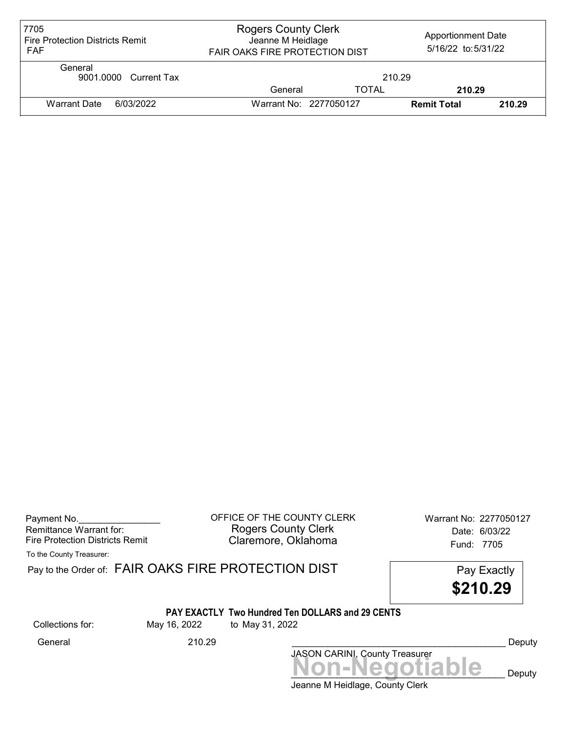| 7705<br><b>Fire Protection Districts Remit</b><br><b>FAF</b> | <b>Rogers County Clerk</b><br><b>Apportionment Date</b><br>Jeanne M Heidlage<br>5/16/22 to: 5/31/22<br><b>FAIR OAKS FIRE PROTECTION DIST</b> |              |                    |        |
|--------------------------------------------------------------|----------------------------------------------------------------------------------------------------------------------------------------------|--------------|--------------------|--------|
| General<br>9001.0000 Current Tax                             |                                                                                                                                              | 210.29       |                    |        |
|                                                              | General                                                                                                                                      | <b>TOTAL</b> | 210.29             |        |
| <b>Warrant Date</b><br>6/03/2022                             | Warrant No: 2277050127                                                                                                                       |              | <b>Remit Total</b> | 210.29 |

| Payment No.                     |  |
|---------------------------------|--|
| Remittance Warrant for:         |  |
| Fire Protection Districts Remit |  |

OFFICE OF THE COUNTY CLERK Warrant No: 2277050127 Rogers County Clerk **Date:** 6/03/22 Fire Protection Districts Remit **Exercise Claremore, Oklahoma** Fund: 7705

To the County Treasurer:

|                  |              | Pay to the Order of: FAIR OAKS FIRE PROTECTION DIST<br>\$210.29            | Pay Exactly |
|------------------|--------------|----------------------------------------------------------------------------|-------------|
| Collections for: | May 16, 2022 | <b>PAY EXACTLY Two Hundred Ten DOLLARS and 29 CENTS</b><br>to May 31, 2022 |             |
| General          | 210.29       | JASON CARINI, County Treasurer                                             | Deputy      |
|                  |              | Non-Negotiable                                                             | Deputy      |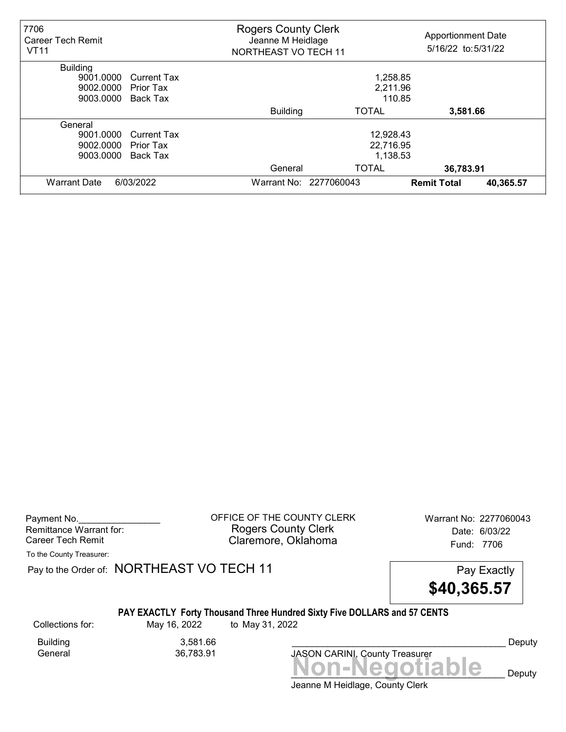| 7706<br><b>Career Tech Remit</b><br><b>VT11</b> |                    | <b>Rogers County Clerk</b><br>Jeanne M Heidlage<br><b>NORTHEAST VO TECH 11</b> |                        | <b>Apportionment Date</b><br>5/16/22 to:5/31/22 |           |  |
|-------------------------------------------------|--------------------|--------------------------------------------------------------------------------|------------------------|-------------------------------------------------|-----------|--|
| <b>Building</b>                                 |                    |                                                                                |                        |                                                 |           |  |
| 9001.0000                                       | <b>Current Tax</b> | 1,258.85                                                                       |                        |                                                 |           |  |
| 9002.0000                                       | <b>Prior Tax</b>   | 2,211.96                                                                       |                        |                                                 |           |  |
| 9003.0000                                       | Back Tax           | 110.85                                                                         |                        |                                                 |           |  |
|                                                 |                    | <b>Building</b>                                                                | <b>TOTAL</b>           | 3,581.66                                        |           |  |
| General                                         |                    |                                                                                |                        |                                                 |           |  |
| 9001.0000                                       | <b>Current Tax</b> | 12,928.43                                                                      |                        |                                                 |           |  |
| 9002.0000                                       | <b>Prior Tax</b>   | 22,716.95                                                                      |                        |                                                 |           |  |
| 9003.0000                                       | Back Tax           | 1,138.53                                                                       |                        |                                                 |           |  |
|                                                 |                    | General                                                                        | <b>TOTAL</b>           | 36,783.91                                       |           |  |
| 6/03/2022<br><b>Warrant Date</b>                |                    |                                                                                | Warrant No: 2277060043 | <b>Remit Total</b>                              | 40,365.57 |  |

Payment No. 2277060043 Rogers County Clerk Date: 6/03/22 Career Tech Remit **Claremore, Oklahoma Career Tech Remit** 7706

To the County Treasurer:

Pay to the Order of: NORTHEAST VO TECH 11 Pay Exactly



## PAY EXACTLY Forty Thousand Three Hundred Sixty Five DOLLARS and 57 CENTS

Collections for: May 16, 2022 to May 31, 2022

Building 3,581.66<br>General 36,783.91

General 36,783.91

Jeanne M Heidlage, County Clerk Non-Negotiable Deputy JASON CARINI, County Treasurer

Deputy